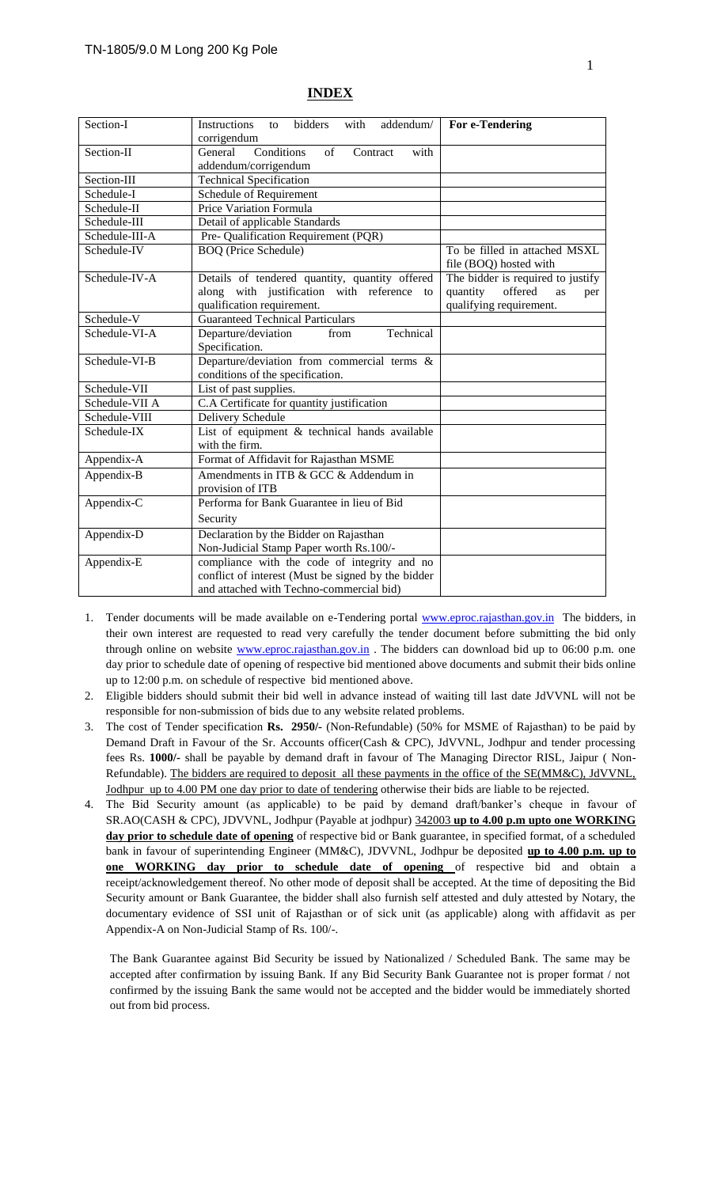| Section-I      | <b>Instructions</b><br>bidders<br>with<br>addendum/<br>to                                                                                                                                                                      | For e-Tendering                                         |  |  |
|----------------|--------------------------------------------------------------------------------------------------------------------------------------------------------------------------------------------------------------------------------|---------------------------------------------------------|--|--|
|                | corrigendum                                                                                                                                                                                                                    |                                                         |  |  |
| Section-II     | Conditions<br>of<br>General<br>Contract<br>with<br>addendum/corrigendum                                                                                                                                                        |                                                         |  |  |
| Section-III    | <b>Technical Specification</b>                                                                                                                                                                                                 |                                                         |  |  |
| Schedule-I     | Schedule of Requirement                                                                                                                                                                                                        |                                                         |  |  |
| Schedule-II    | <b>Price Variation Formula</b>                                                                                                                                                                                                 |                                                         |  |  |
| Schedule-III   | Detail of applicable Standards                                                                                                                                                                                                 |                                                         |  |  |
| Schedule-III-A | Pre- Qualification Requirement (PQR)                                                                                                                                                                                           |                                                         |  |  |
| Schedule-IV    | <b>BOQ</b> (Price Schedule)                                                                                                                                                                                                    | To be filled in attached MSXL<br>file (BOQ) hosted with |  |  |
| Schedule-IV-A  | The bidder is required to justify<br>Details of tendered quantity, quantity offered<br>along with justification with reference to<br>offered<br>quantity<br>as<br>per<br>qualification requirement.<br>qualifying requirement. |                                                         |  |  |
| Schedule-V     | <b>Guaranteed Technical Particulars</b>                                                                                                                                                                                        |                                                         |  |  |
| Schedule-VI-A  | Technical<br>Departure/deviation<br>from<br>Specification.                                                                                                                                                                     |                                                         |  |  |
| Schedule-VI-B  | Departure/deviation from commercial terms &                                                                                                                                                                                    |                                                         |  |  |
|                | conditions of the specification.                                                                                                                                                                                               |                                                         |  |  |
| Schedule-VII   | List of past supplies.                                                                                                                                                                                                         |                                                         |  |  |
| Schedule-VII A | C.A Certificate for quantity justification                                                                                                                                                                                     |                                                         |  |  |
| Schedule-VIII  | Delivery Schedule                                                                                                                                                                                                              |                                                         |  |  |
| Schedule-IX    | List of equipment & technical hands available<br>with the firm.                                                                                                                                                                |                                                         |  |  |
| Appendix-A     | Format of Affidavit for Rajasthan MSME                                                                                                                                                                                         |                                                         |  |  |
| Appendix-B     | Amendments in ITB & GCC & Addendum in<br>provision of ITB                                                                                                                                                                      |                                                         |  |  |
| Appendix-C     | Performa for Bank Guarantee in lieu of Bid                                                                                                                                                                                     |                                                         |  |  |
|                | Security                                                                                                                                                                                                                       |                                                         |  |  |
| Appendix-D     | Declaration by the Bidder on Rajasthan<br>Non-Judicial Stamp Paper worth Rs.100/-                                                                                                                                              |                                                         |  |  |
| Appendix-E     | compliance with the code of integrity and no<br>conflict of interest (Must be signed by the bidder<br>and attached with Techno-commercial bid)                                                                                 |                                                         |  |  |

#### **INDEX**

- 1. Tender documents will be made available on e-Tendering portal [www.eproc.rajasthan.gov.in](http://www.eproc.rajasthan.gov.in/) The bidders, in their own interest are requested to read very carefully the tender document before submitting the bid only through online on website [www.eproc.rajasthan.gov.in](http://www.eproc.rajasthan.gov.in/). The bidders can download bid up to 06:00 p.m. one day prior to schedule date of opening of respective bid mentioned above documents and submit their bids online up to 12:00 p.m. on schedule of respective bid mentioned above.
- 2. Eligible bidders should submit their bid well in advance instead of waiting till last date JdVVNL will not be responsible for non-submission of bids due to any website related problems.
- 3. The cost of Tender specification **Rs. 2950/-** (Non-Refundable) (50% for MSME of Rajasthan) to be paid by Demand Draft in Favour of the Sr. Accounts officer(Cash & CPC), JdVVNL, Jodhpur and tender processing fees Rs. **1000/-** shall be payable by demand draft in favour of The Managing Director RISL, Jaipur ( Non-Refundable). The bidders are required to deposit all these payments in the office of the SE(MM&C), JdVVNL, Jodhpur up to 4.00 PM one day prior to date of tendering otherwise their bids are liable to be rejected.
- 4. The Bid Security amount (as applicable) to be paid by demand draft/banker's cheque in favour of SR.AO(CASH & CPC), JDVVNL, Jodhpur (Payable at jodhpur) 342003 **up to 4.00 p.m upto one WORKING day prior to schedule date of opening** of respective bid or Bank guarantee, in specified format, of a scheduled bank in favour of superintending Engineer (MM&C), JDVVNL, Jodhpur be deposited **up to 4.00 p.m. up to one WORKING day prior to schedule date of opening** of respective bid and obtain a receipt/acknowledgement thereof. No other mode of deposit shall be accepted. At the time of depositing the Bid Security amount or Bank Guarantee, the bidder shall also furnish self attested and duly attested by Notary, the documentary evidence of SSI unit of Rajasthan or of sick unit (as applicable) along with affidavit as per Appendix-A on Non-Judicial Stamp of Rs. 100/-.

The Bank Guarantee against Bid Security be issued by Nationalized / Scheduled Bank. The same may be accepted after confirmation by issuing Bank. If any Bid Security Bank Guarantee not is proper format / not confirmed by the issuing Bank the same would not be accepted and the bidder would be immediately shorted out from bid process.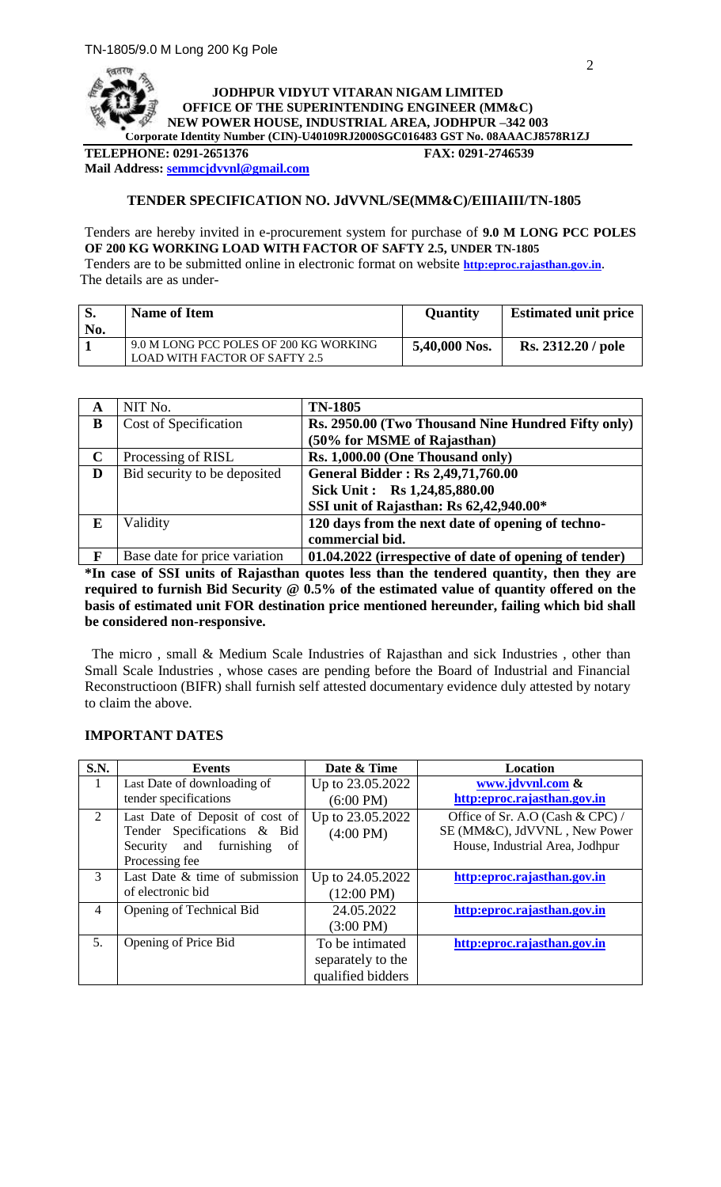

**TELEPHONE: 0291-2651376 FAX: 0291-2746539 Mail Address[: semmcjdvvnl@gmail.com](mailto:semmcjdvvnl@gmail.com)**

## **TENDER SPECIFICATION NO. JdVVNL/SE(MM&C)/EIIIAIII/TN-1805**

Tenders are hereby invited in e-procurement system for purchase of **9.0 M LONG PCC POLES OF 200 KG WORKING LOAD WITH FACTOR OF SAFTY 2.5, UNDER TN-1805** Tenders are to be submitted online in electronic format on website **[http:eproc.rajasthan.gov.in](http://www.eproc.rajasthan.gov.in/nicgep/app)**. The details are as under-

| l S. | <b>Name of Item</b>                    | <b>Quantity</b> | <b>Estimated unit price</b> |
|------|----------------------------------------|-----------------|-----------------------------|
| No.  |                                        |                 |                             |
|      | 9.0 M LONG PCC POLES OF 200 KG WORKING | 5,40,000 Nos.   | <b>Rs. 2312.20 / pole</b>   |
|      | <b>LOAD WITH FACTOR OF SAFTY 2.5</b>   |                 |                             |

| A                        | NIT No.                                   | <b>TN-1805</b>                                                                                        |
|--------------------------|-------------------------------------------|-------------------------------------------------------------------------------------------------------|
| B                        | Cost of Specification                     | Rs. 2950.00 (Two Thousand Nine Hundred Fifty only)                                                    |
|                          |                                           | (50% for MSME of Rajasthan)                                                                           |
| $\mathbf C$              | Processing of RISL                        | Rs. 1,000.00 (One Thousand only)                                                                      |
| D                        | Bid security to be deposited              | <b>General Bidder: Rs 2,49,71,760.00</b>                                                              |
|                          |                                           | Sick Unit: Rs 1,24,85,880.00                                                                          |
|                          |                                           | SSI unit of Rajasthan: Rs 62,42,940.00*                                                               |
| E                        | Validity                                  | 120 days from the next date of opening of techno-                                                     |
|                          |                                           | commercial bid.                                                                                       |
| $\overline{\phantom{a}}$ | $\mathbf{1}$ $\mathbf{0}$<br>$\mathbf{r}$ | $\bullet$ $\bullet$ $\bullet$ $\bullet$ $\bullet$<br>$\bullet$ .<br><b>04 04 8088 78</b><br>$\cdot$ . |

**F** Base date for price variation **01.04.2022** (irrespective of date of opening of tender) **\*In case of SSI units of Rajasthan quotes less than the tendered quantity, then they are required to furnish Bid Security @ 0.5% of the estimated value of quantity offered on the basis of estimated unit FOR destination price mentioned hereunder, failing which bid shall be considered non-responsive.**

 The micro , small & Medium Scale Industries of Rajasthan and sick Industries , other than Small Scale Industries , whose cases are pending before the Board of Industrial and Financial Reconstructioon (BIFR) shall furnish self attested documentary evidence duly attested by notary to claim the above.

| S.N.           | <b>Events</b>                   | Date & Time          | Location                         |
|----------------|---------------------------------|----------------------|----------------------------------|
| 1              | Last Date of downloading of     | Up to 23.05.2022     | www.jdvvnl.com &                 |
|                | tender specifications           | $(6:00 \text{ PM})$  | http:eproc.rajasthan.gov.in      |
| $\overline{2}$ | Last Date of Deposit of cost of | Up to 23.05.2022     | Office of Sr. A.O (Cash & CPC) / |
|                | Tender Specifications & Bid     | $(4:00 \text{ PM})$  | SE (MM&C), JdVVNL, New Power     |
|                | Security and furnishing<br>of   |                      | House, Industrial Area, Jodhpur  |
|                | Processing fee                  |                      |                                  |
| $\mathcal{R}$  | Last Date & time of submission  | Up to 24.05.2022     | http:eproc.rajasthan.gov.in      |
|                | of electronic bid               | $(12:00 \text{ PM})$ |                                  |
| 4              | Opening of Technical Bid        | 24.05.2022           | http:eproc.rajasthan.gov.in      |
|                |                                 | $(3:00 \text{ PM})$  |                                  |
| 5.             | Opening of Price Bid            | To be intimated      | http:eproc.rajasthan.gov.in      |
|                |                                 | separately to the    |                                  |
|                |                                 | qualified bidders    |                                  |

#### **IMPORTANT DATES**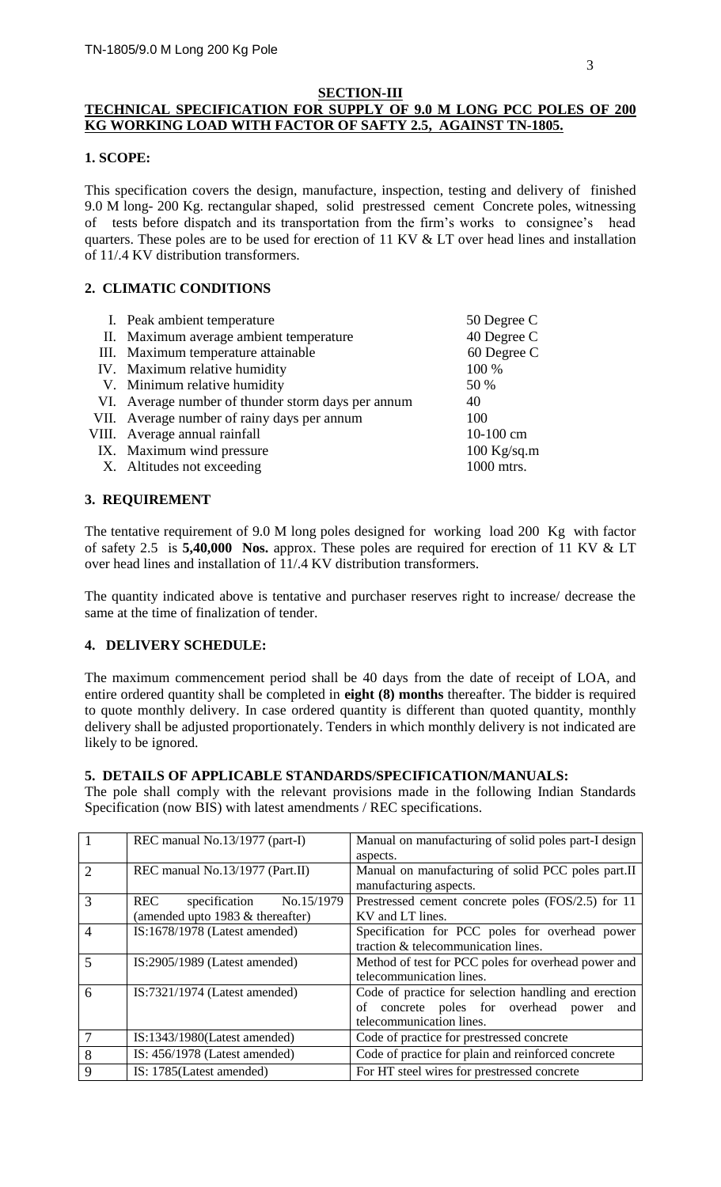#### **SECTION-III**

# **TECHNICAL SPECIFICATION FOR SUPPLY OF 9.0 M LONG PCC POLES OF 200 KG WORKING LOAD WITH FACTOR OF SAFTY 2.5, AGAINST TN-1805.**

#### **1. SCOPE:**

This specification covers the design, manufacture, inspection, testing and delivery of finished 9.0 M long- 200 Kg. rectangular shaped, solid prestressed cement Concrete poles, witnessing of tests before dispatch and its transportation from the firm's works to consignee's head quarters. These poles are to be used for erection of 11 KV & LT over head lines and installation of 11/.4 KV distribution transformers.

## **2. CLIMATIC CONDITIONS**

| I. Peak ambient temperature                              | 50 Degree C   |
|----------------------------------------------------------|---------------|
| II. Maximum average ambient temperature                  | 40 Degree C   |
| III. Maximum temperature attainable                      | 60 Degree C   |
| IV. Maximum relative humidity                            | 100 %         |
| V. Minimum relative humidity<br>50 %                     |               |
| VI. Average number of thunder storm days per annum<br>40 |               |
| VII. Average number of rainy days per annum<br>100       |               |
| VIII. Average annual rainfall                            | 10-100 cm     |
| IX. Maximum wind pressure                                | $100$ Kg/sq.m |
| X. Altitudes not exceeding                               | 1000 mtrs.    |

#### **3. REQUIREMENT**

The tentative requirement of 9.0 M long poles designed for working load 200 Kg with factor of safety 2.5 is **5,40,000 Nos.** approx. These poles are required for erection of 11 KV & LT over head lines and installation of 11/.4 KV distribution transformers.

The quantity indicated above is tentative and purchaser reserves right to increase/ decrease the same at the time of finalization of tender.

#### **4. DELIVERY SCHEDULE:**

The maximum commencement period shall be 40 days from the date of receipt of LOA, and entire ordered quantity shall be completed in **eight (8) months** thereafter. The bidder is required to quote monthly delivery. In case ordered quantity is different than quoted quantity, monthly delivery shall be adjusted proportionately. Tenders in which monthly delivery is not indicated are likely to be ignored.

## **5. DETAILS OF APPLICABLE STANDARDS/SPECIFICATION/MANUALS:**

The pole shall comply with the relevant provisions made in the following Indian Standards Specification (now BIS) with latest amendments / REC specifications.

| $\vert$ 1      | REC manual No.13/1977 (part-I)                                             | Manual on manufacturing of solid poles part-I design<br>aspects.                                                                   |
|----------------|----------------------------------------------------------------------------|------------------------------------------------------------------------------------------------------------------------------------|
| $\overline{2}$ | REC manual No.13/1977 (Part.II)                                            | Manual on manufacturing of solid PCC poles part.II<br>manufacturing aspects.                                                       |
| 3              | specification No.15/1979<br><b>REC</b><br>(amended upto 1983 & thereafter) | Prestressed cement concrete poles (FOS/2.5) for 11<br>KV and LT lines.                                                             |
| $\overline{4}$ | IS:1678/1978 (Latest amended)                                              | Specification for PCC poles for overhead power<br>traction & telecommunication lines.                                              |
| 5              | IS:2905/1989 (Latest amended)                                              | Method of test for PCC poles for overhead power and<br>telecommunication lines.                                                    |
| 6              | $IS:7321/1974$ (Latest amended)                                            | Code of practice for selection handling and erection<br>concrete poles for overhead power<br>οf<br>and<br>telecommunication lines. |
| $\overline{7}$ | $IS:1343/1980$ (Latest amended)                                            | Code of practice for prestressed concrete                                                                                          |
| 8              | IS: $456/1978$ (Latest amended)                                            | Code of practice for plain and reinforced concrete                                                                                 |
| 9              | IS: 1785(Latest amended)                                                   | For HT steel wires for prestressed concrete                                                                                        |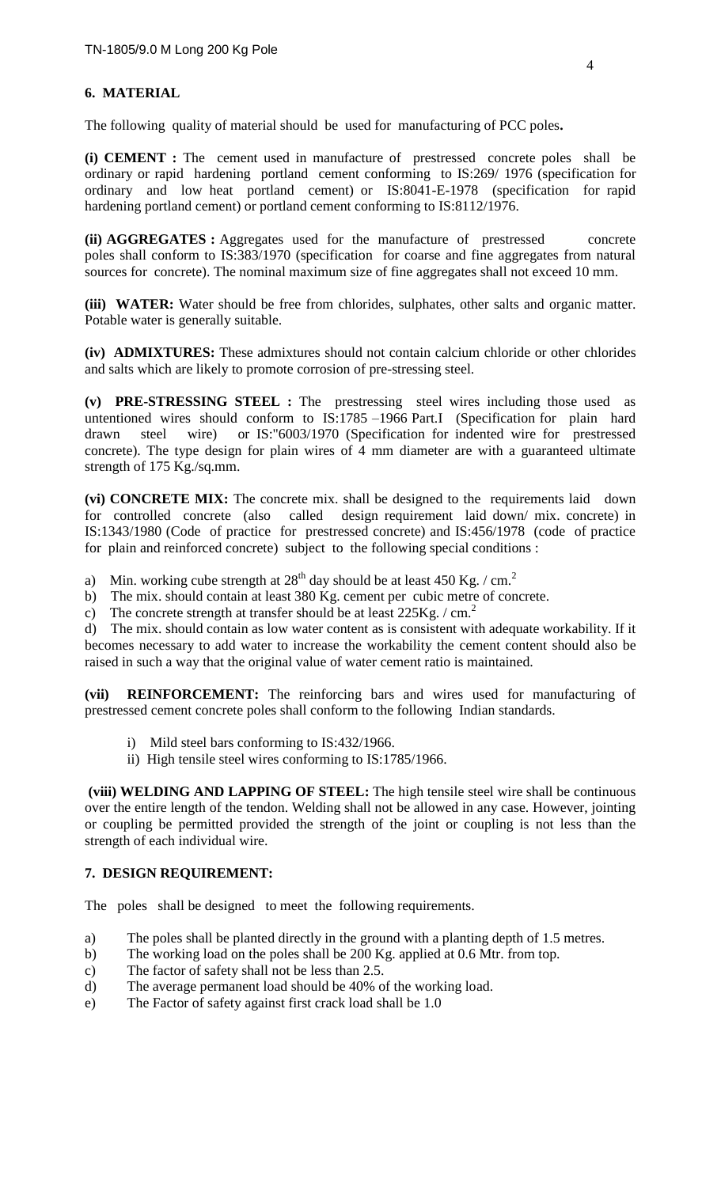## **6. MATERIAL**

The following quality of material should be used for manufacturing of PCC poles**.**

**(i) CEMENT :** The cement used in manufacture of prestressed concrete poles shall be ordinary or rapid hardening portland cement conforming to IS:269/ 1976 (specification for ordinary and low heat portland cement) or IS:8041-E-1978 (specification for rapid hardening portland cement) or portland cement conforming to IS:8112/1976.

**(ii) AGGREGATES :** Aggregates used for the manufacture of prestressed concrete poles shall conform to IS:383/1970 (specification for coarse and fine aggregates from natural sources for concrete). The nominal maximum size of fine aggregates shall not exceed 10 mm.

**(iii) WATER:** Water should be free from chlorides, sulphates, other salts and organic matter. Potable water is generally suitable.

**(iv) ADMIXTURES:** These admixtures should not contain calcium chloride or other chlorides and salts which are likely to promote corrosion of pre-stressing steel.

**(v) PRE-STRESSING STEEL :** The prestressing steel wires including those used as untentioned wires should conform to IS:1785 –1966 Part.I (Specification for plain hard drawn steel wire) or IS:"6003/1970 (Specification for indented wire for prestressed concrete). The type design for plain wires of 4 mm diameter are with a guaranteed ultimate strength of 175 Kg./sq.mm.

**(vi) CONCRETE MIX:** The concrete mix. shall be designed to the requirements laid down for controlled concrete (also called design requirement laid down/ mix. concrete) in IS:1343/1980 (Code of practice for prestressed concrete) and IS:456/1978 (code of practice for plain and reinforced concrete) subject to the following special conditions :

a) Min. working cube strength at  $28<sup>th</sup>$  day should be at least 450 Kg. / cm.<sup>2</sup>

- b) The mix. should contain at least 380 Kg. cement per cubic metre of concrete.
- c) The concrete strength at transfer should be at least  $225\text{Kg}$ . / cm.<sup>2</sup>

d) The mix. should contain as low water content as is consistent with adequate workability. If it becomes necessary to add water to increase the workability the cement content should also be raised in such a way that the original value of water cement ratio is maintained.

**(vii) REINFORCEMENT:** The reinforcing bars and wires used for manufacturing of prestressed cement concrete poles shall conform to the following Indian standards.

- i) Mild steel bars conforming to IS:432/1966.
- ii) High tensile steel wires conforming to IS:1785/1966.

**(viii) WELDING AND LAPPING OF STEEL:** The high tensile steel wire shall be continuous over the entire length of the tendon. Welding shall not be allowed in any case. However, jointing or coupling be permitted provided the strength of the joint or coupling is not less than the strength of each individual wire.

#### **7. DESIGN REQUIREMENT:**

The poles shall be designed to meet the following requirements.

- a) The poles shall be planted directly in the ground with a planting depth of 1.5 metres.
- b) The working load on the poles shall be 200 Kg. applied at 0.6 Mtr. from top.
- c) The factor of safety shall not be less than 2.5.
- d) The average permanent load should be 40% of the working load.
- e) The Factor of safety against first crack load shall be 1.0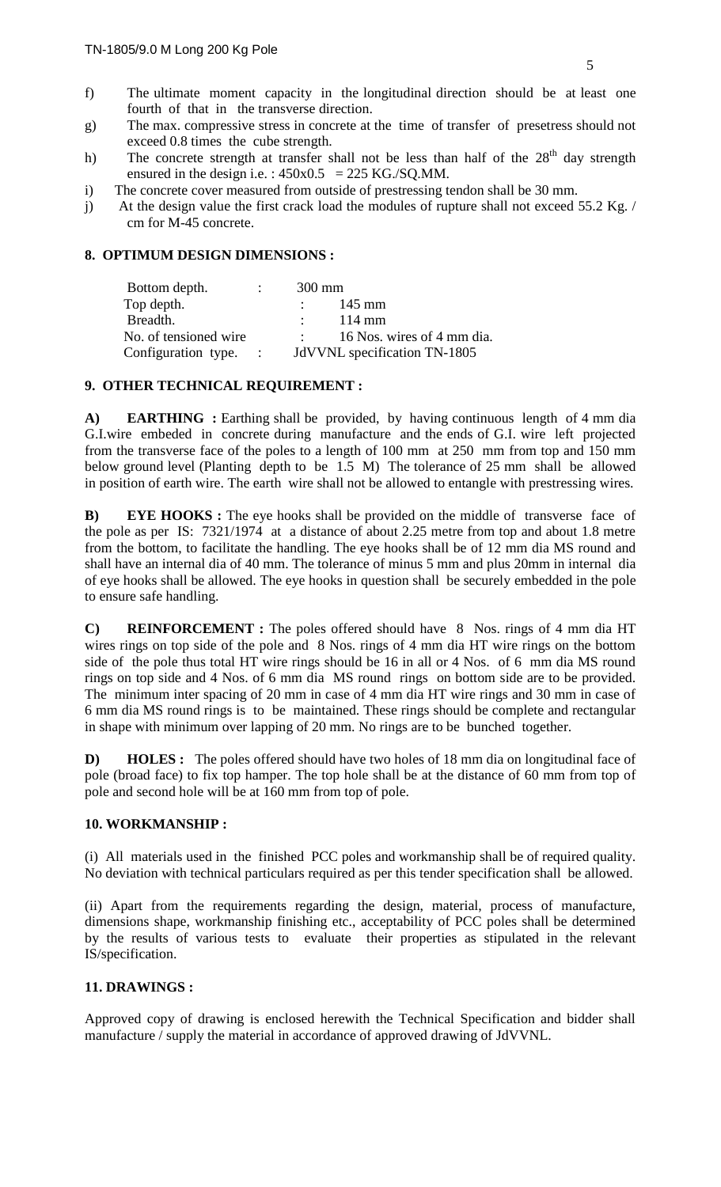- f) The ultimate moment capacity in the longitudinal direction should be at least one fourth of that in the transverse direction.
- g) The max. compressive stress in concrete at the time of transfer of presetress should not exceed 0.8 times the cube strength.
- h) The concrete strength at transfer shall not be less than half of the 28<sup>th</sup> day strength ensured in the design i.e. :  $450x0.5 = 225$  KG./SQ.MM.
- i) The concrete cover measured from outside of prestressing tendon shall be 30 mm.
- j) At the design value the first crack load the modules of rupture shall not exceed 55.2 Kg. / cm for M-45 concrete.

# **8. OPTIMUM DESIGN DIMENSIONS :**

| Bottom depth.         | $\mathcal{L}$ | $300 \text{ mm}$             |
|-----------------------|---------------|------------------------------|
| Top depth.            |               | 145 mm                       |
| Breadth.              |               | $114 \text{ mm}$             |
| No. of tensioned wire |               | 16 Nos. wires of 4 mm dia.   |
| Configuration type. : |               | JdVVNL specification TN-1805 |

# **9. OTHER TECHNICAL REQUIREMENT :**

A) **EARTHING** : Earthing shall be provided, by having continuous length of 4 mm dia G.I.wire embeded in concrete during manufacture and the ends of G.I. wire left projected from the transverse face of the poles to a length of 100 mm at 250 mm from top and 150 mm below ground level (Planting depth to be 1.5 M) The tolerance of 25 mm shall be allowed in position of earth wire. The earth wire shall not be allowed to entangle with prestressing wires.

**B) EYE HOOKS :** The eye hooks shall be provided on the middle of transverse face of the pole as per IS: 7321/1974 at a distance of about 2.25 metre from top and about 1.8 metre from the bottom, to facilitate the handling. The eye hooks shall be of 12 mm dia MS round and shall have an internal dia of 40 mm. The tolerance of minus 5 mm and plus 20mm in internal dia of eye hooks shall be allowed. The eye hooks in question shall be securely embedded in the pole to ensure safe handling.

**C) REINFORCEMENT :** The poles offered should have 8 Nos. rings of 4 mm dia HT wires rings on top side of the pole and 8 Nos. rings of 4 mm dia HT wire rings on the bottom side of the pole thus total HT wire rings should be 16 in all or 4 Nos. of 6 mm dia MS round rings on top side and 4 Nos. of 6 mm dia MS round rings on bottom side are to be provided. The minimum inter spacing of 20 mm in case of 4 mm dia HT wire rings and 30 mm in case of 6 mm dia MS round rings is to be maintained. These rings should be complete and rectangular in shape with minimum over lapping of 20 mm. No rings are to be bunched together.

**D) HOLES :** The poles offered should have two holes of 18 mm dia on longitudinal face of pole (broad face) to fix top hamper. The top hole shall be at the distance of 60 mm from top of pole and second hole will be at 160 mm from top of pole.

#### **10. WORKMANSHIP :**

(i)All materials used in the finished PCC poles and workmanship shall be of required quality. No deviation with technical particulars required as per this tender specification shall be allowed.

(ii) Apart from the requirements regarding the design, material, process of manufacture, dimensions shape, workmanship finishing etc., acceptability of PCC poles shall be determined by the results of various tests to evaluate their properties as stipulated in the relevant IS/specification.

# **11. DRAWINGS :**

Approved copy of drawing is enclosed herewith the Technical Specification and bidder shall manufacture / supply the material in accordance of approved drawing of JdVVNL.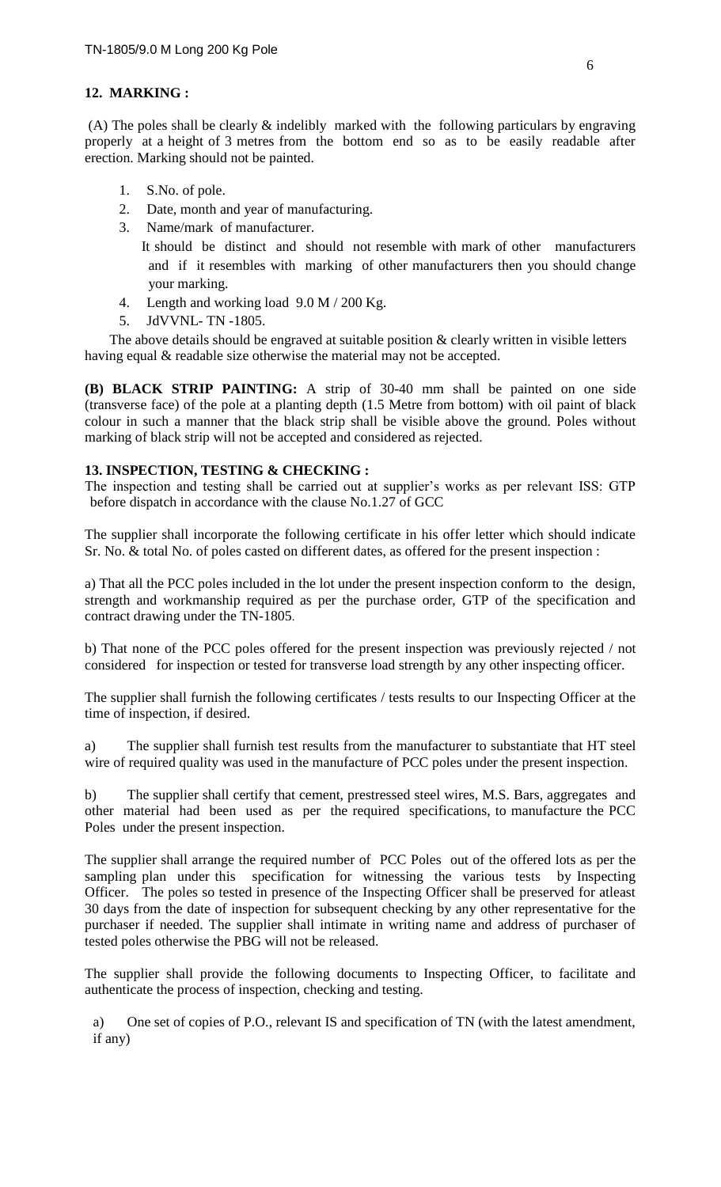# **12. MARKING :**

(A) The poles shall be clearly  $&$  indelibly marked with the following particulars by engraving properly at a height of 3 metres from the bottom end so as to be easily readable after erection. Marking should not be painted.

- 1. S.No. of pole.
- 2. Date, month and year of manufacturing.
- 3. Name/mark of manufacturer.

 It should be distinct and should not resemble with mark of other manufacturers and if it resembles with marking of other manufacturers then you should change your marking.

- 4. Length and working load 9.0 M / 200 Kg.
- 5. JdVVNL- TN -1805.

The above details should be engraved at suitable position  $\&$  clearly written in visible letters having equal & readable size otherwise the material may not be accepted.

**(B) BLACK STRIP PAINTING:** A strip of 30-40 mm shall be painted on one side (transverse face) of the pole at a planting depth (1.5 Metre from bottom) with oil paint of black colour in such a manner that the black strip shall be visible above the ground. Poles without marking of black strip will not be accepted and considered as rejected.

# **13. INSPECTION, TESTING & CHECKING :**

The inspection and testing shall be carried out at supplier's works as per relevant ISS: GTP before dispatch in accordance with the clause No.1.27 of GCC

The supplier shall incorporate the following certificate in his offer letter which should indicate Sr. No. & total No. of poles casted on different dates, as offered for the present inspection :

a) That all the PCC poles included in the lot under the present inspection conform to the design, strength and workmanship required as per the purchase order, GTP of the specification and contract drawing under the TN-1805.

b) That none of the PCC poles offered for the present inspection was previously rejected / not considered for inspection or tested for transverse load strength by any other inspecting officer.

The supplier shall furnish the following certificates / tests results to our Inspecting Officer at the time of inspection, if desired.

a) The supplier shall furnish test results from the manufacturer to substantiate that HT steel wire of required quality was used in the manufacture of PCC poles under the present inspection.

b) The supplier shall certify that cement, prestressed steel wires, M.S. Bars, aggregates and other material had been used as per the required specifications, to manufacture the PCC Poles under the present inspection.

The supplier shall arrange the required number of PCC Poles out of the offered lots as per the sampling plan under this specification for witnessing the various tests by Inspecting Officer. The poles so tested in presence of the Inspecting Officer shall be preserved for atleast 30 days from the date of inspection for subsequent checking by any other representative for the purchaser if needed. The supplier shall intimate in writing name and address of purchaser of tested poles otherwise the PBG will not be released.

The supplier shall provide the following documents to Inspecting Officer, to facilitate and authenticate the process of inspection, checking and testing.

a) One set of copies of P.O., relevant IS and specification of TN (with the latest amendment, if any)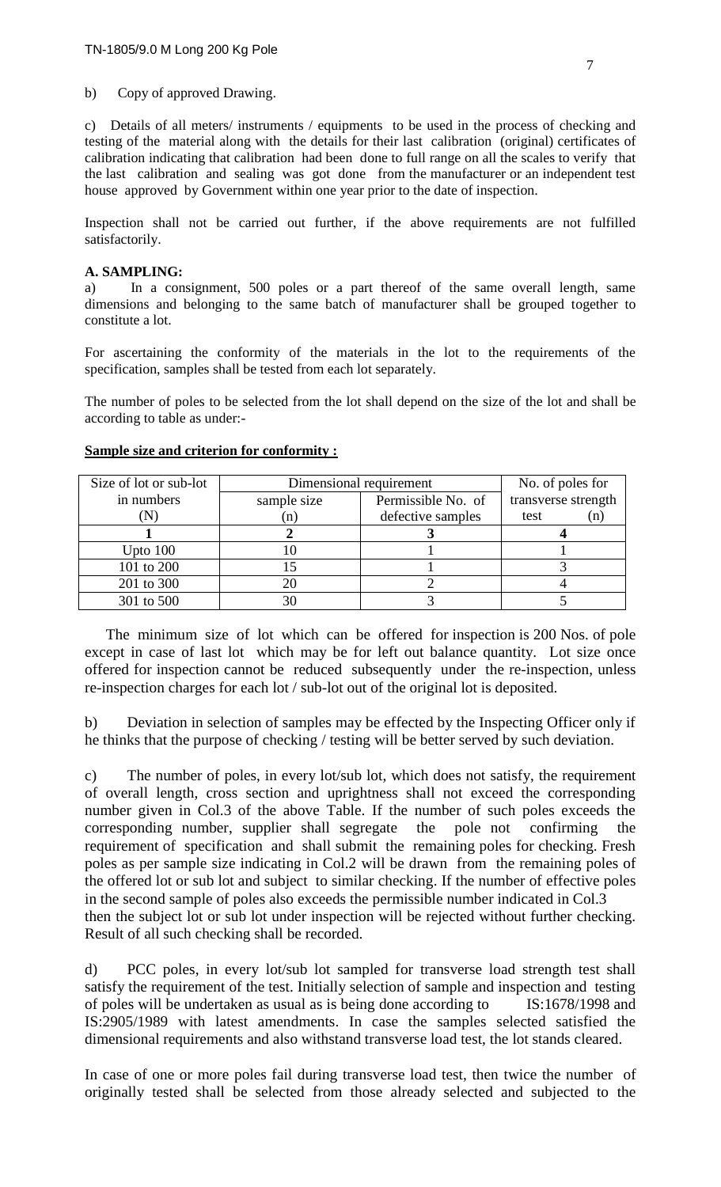b) Copy of approved Drawing.

c) Details of all meters/ instruments / equipments to be used in the process of checking and testing of the material along with the details for their last calibration (original) certificates of calibration indicating that calibration had been done to full range on all the scales to verify that the last calibration and sealing was got done from the manufacturer or an independent test house approved by Government within one year prior to the date of inspection.

Inspection shall not be carried out further, if the above requirements are not fulfilled satisfactorily.

#### **A. SAMPLING:**

a) In a consignment, 500 poles or a part thereof of the same overall length, same dimensions and belonging to the same batch of manufacturer shall be grouped together to constitute a lot.

For ascertaining the conformity of the materials in the lot to the requirements of the specification, samples shall be tested from each lot separately.

The number of poles to be selected from the lot shall depend on the size of the lot and shall be according to table as under:-

| Size of lot or sub-lot | Dimensional requirement |                    | No. of poles for    |  |
|------------------------|-------------------------|--------------------|---------------------|--|
| in numbers             | sample size             | Permissible No. of | transverse strength |  |
|                        | (n)                     | defective samples  | test<br>(n)         |  |
|                        |                         |                    |                     |  |
| Upto $100$             |                         |                    |                     |  |
| 101 to 200             |                         |                    |                     |  |
| 201 to 300             |                         |                    |                     |  |
| 301 to 500             | 30                      |                    |                     |  |

#### **Sample size and criterion for conformity :**

 The minimum size of lot which can be offered for inspection is 200 Nos. of pole except in case of last lot which may be for left out balance quantity. Lot size once offered for inspection cannot be reduced subsequently under the re-inspection, unless re-inspection charges for each lot / sub-lot out of the original lot is deposited.

b) Deviation in selection of samples may be effected by the Inspecting Officer only if he thinks that the purpose of checking / testing will be better served by such deviation.

c) The number of poles, in every lot/sub lot, which does not satisfy, the requirement of overall length, cross section and uprightness shall not exceed the corresponding number given in Col.3 of the above Table. If the number of such poles exceeds the corresponding number, supplier shall segregate the pole not confirming the requirement of specification and shall submit the remaining poles for checking. Fresh poles as per sample size indicating in Col.2 will be drawn from the remaining poles of the offered lot or sub lot and subject to similar checking. If the number of effective poles in the second sample of poles also exceeds the permissible number indicated in Col.3 then the subject lot or sub lot under inspection will be rejected without further checking. Result of all such checking shall be recorded.

d) PCC poles, in every lot/sub lot sampled for transverse load strength test shall satisfy the requirement of the test. Initially selection of sample and inspection and testing of poles will be undertaken as usual as is being done according to IS:1678/1998 and IS:2905/1989 with latest amendments. In case the samples selected satisfied the dimensional requirements and also withstand transverse load test, the lot stands cleared.

In case of one or more poles fail during transverse load test, then twice the number of originally tested shall be selected from those already selected and subjected to the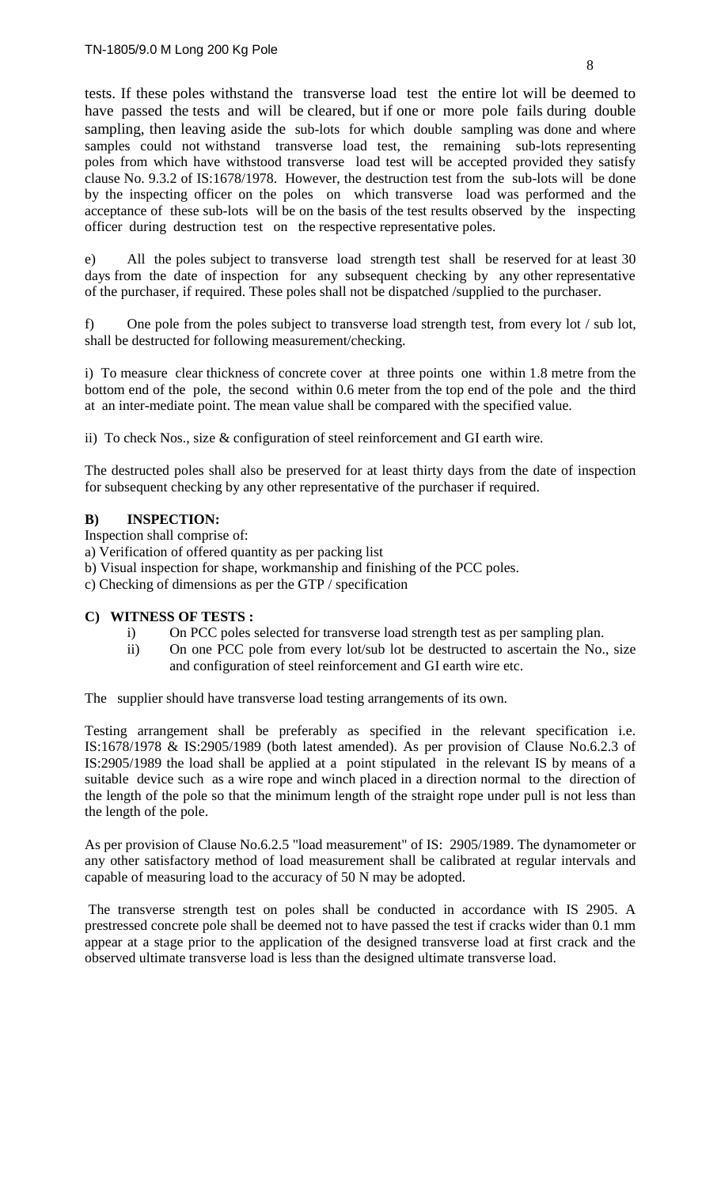tests. If these poles withstand the transverse load test the entire lot will be deemed to have passed the tests and will be cleared, but if one or more pole fails during double sampling, then leaving aside the sub-lots for which double sampling was done and where samples could not withstand transverse load test, the remaining sub-lots representing poles from which have withstood transverse load test will be accepted provided they satisfy clause No. 9.3.2 of IS:1678/1978. However, the destruction test from the sub-lots will be done by the inspecting officer on the poles on which transverse load was performed and the acceptance of these sub-lots will be on the basis of the test results observed by the inspecting officer during destruction test on the respective representative poles.

e) All the poles subject to transverse load strength test shall be reserved for at least 30 days from the date of inspection for any subsequent checking by any other representative of the purchaser, if required. These poles shall not be dispatched /supplied to the purchaser.

f) One pole from the poles subject to transverse load strength test, from every lot / sub lot, shall be destructed for following measurement/checking.

i) To measure clear thickness of concrete cover at three points one within 1.8 metre from the bottom end of the pole, the second within 0.6 meter from the top end of the pole and the third at an inter-mediate point. The mean value shall be compared with the specified value.

ii) To check Nos., size & configuration of steel reinforcement and GI earth wire.

The destructed poles shall also be preserved for at least thirty days from the date of inspection for subsequent checking by any other representative of the purchaser if required.

## **B) INSPECTION:**

Inspection shall comprise of:

a) Verification of offered quantity as per packing list

- b) Visual inspection for shape, workmanship and finishing of the PCC poles.
- c) Checking of dimensions as per the GTP / specification

#### **C) WITNESS OF TESTS :**

- i) On PCC poles selected for transverse load strength test as per sampling plan.
- ii) On one PCC pole from every lot/sub lot be destructed to ascertain the No., size and configuration of steel reinforcement and GI earth wire etc.

The supplier should have transverse load testing arrangements of its own.

Testing arrangement shall be preferably as specified in the relevant specification i.e. IS:1678/1978 & IS:2905/1989 (both latest amended). As per provision of Clause No.6.2.3 of IS:2905/1989 the load shall be applied at a point stipulated in the relevant IS by means of a suitable device such as a wire rope and winch placed in a direction normal to the direction of the length of the pole so that the minimum length of the straight rope under pull is not less than the length of the pole.

As per provision of Clause No.6.2.5 "load measurement" of IS: 2905/1989. The dynamometer or any other satisfactory method of load measurement shall be calibrated at regular intervals and capable of measuring load to the accuracy of 50 N may be adopted.

The transverse strength test on poles shall be conducted in accordance with IS 2905. A prestressed concrete pole shall be deemed not to have passed the test if cracks wider than 0.1 mm appear at a stage prior to the application of the designed transverse load at first crack and the observed ultimate transverse load is less than the designed ultimate transverse load.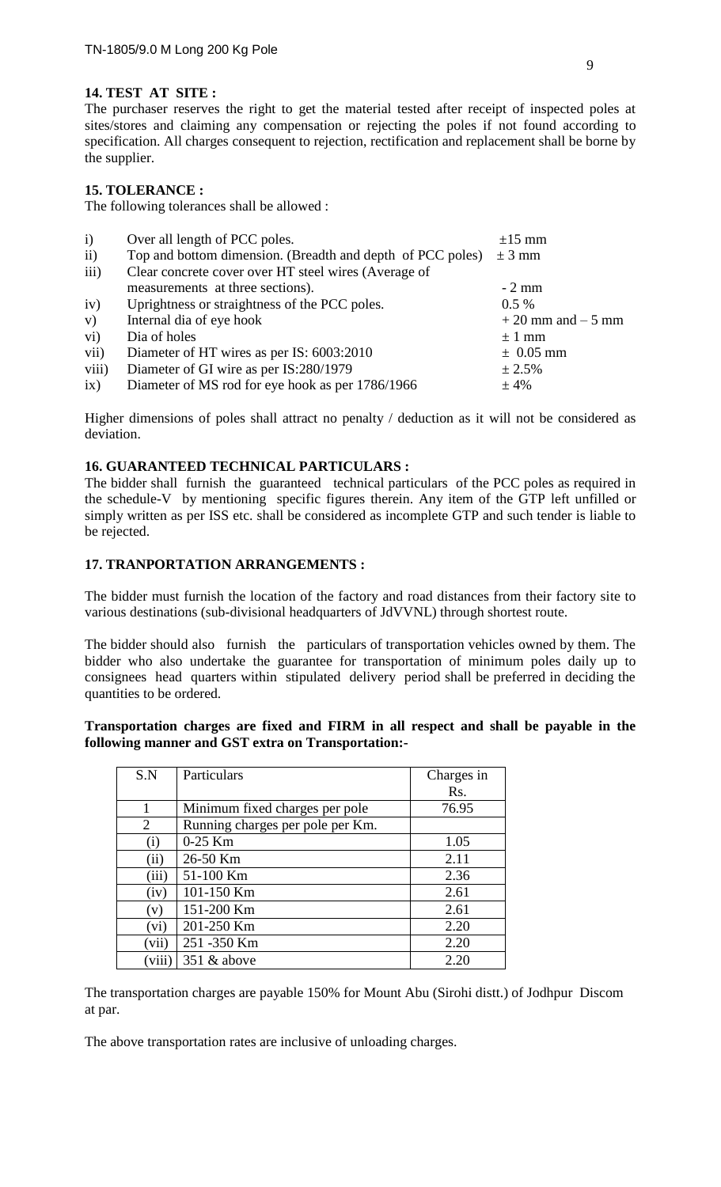# **14. TEST AT SITE :**

The purchaser reserves the right to get the material tested after receipt of inspected poles at sites/stores and claiming any compensation or rejecting the poles if not found according to specification. All charges consequent to rejection, rectification and replacement shall be borne by the supplier.

## **15. TOLERANCE :**

The following tolerances shall be allowed :

| $\mathbf{i}$    | Over all length of PCC poles.                              | $\pm 15$ mm          |
|-----------------|------------------------------------------------------------|----------------------|
| ii)             | Top and bottom dimension. (Breadth and depth of PCC poles) | $\pm$ 3 mm           |
| iii)            | Clear concrete cover over HT steel wires (Average of       |                      |
|                 | measurements at three sections).                           | $-2$ mm              |
| iv)             | Uprightness or straightness of the PCC poles.              | $0.5\%$              |
| V)              | Internal dia of eye hook                                   | $+20$ mm and $-5$ mm |
| $\overline{vi}$ | Dia of holes                                               | $\pm$ 1 mm           |
| vii)            | Diameter of HT wires as per IS: 6003:2010                  | $\pm$ 0.05 mm        |
| viii)           | Diameter of GI wire as per IS:280/1979                     | ± 2.5%               |
| ix)             | Diameter of MS rod for eye hook as per 1786/1966           | ±4%                  |

Higher dimensions of poles shall attract no penalty / deduction as it will not be considered as deviation.

#### **16. GUARANTEED TECHNICAL PARTICULARS :**

The bidder shall furnish the guaranteed technical particulars of the PCC poles as required in the schedule-V by mentioning specific figures therein. Any item of the GTP left unfilled or simply written as per ISS etc. shall be considered as incomplete GTP and such tender is liable to be rejected.

## **17. TRANPORTATION ARRANGEMENTS :**

The bidder must furnish the location of the factory and road distances from their factory site to various destinations (sub-divisional headquarters of JdVVNL) through shortest route.

The bidder should also furnish the particulars of transportation vehicles owned by them. The bidder who also undertake the guarantee for transportation of minimum poles daily up to consignees head quarters within stipulated delivery period shall be preferred in deciding the quantities to be ordered.

#### **Transportation charges are fixed and FIRM in all respect and shall be payable in the following manner and GST extra on Transportation:-**

| S.N      | Particulars                      | Charges in |
|----------|----------------------------------|------------|
|          |                                  | Rs.        |
|          | Minimum fixed charges per pole   | 76.95      |
| 2        | Running charges per pole per Km. |            |
| $\rm(i)$ | $0-25$ Km                        | 1.05       |
| (ii)     | 26-50 Km                         | 2.11       |
| (iii)    | 51-100 Km                        | 2.36       |
| (iv)     | 101-150 Km                       | 2.61       |
| (v)      | 151-200 Km                       | 2.61       |
| (vi)     | 201-250 Km                       | 2.20       |
| (vii)    | 251 - 350 Km                     | 2.20       |
| viii     | $351 \&$ above                   | 2.20       |

The transportation charges are payable 150% for Mount Abu (Sirohi distt.) of Jodhpur Discom at par.

The above transportation rates are inclusive of unloading charges.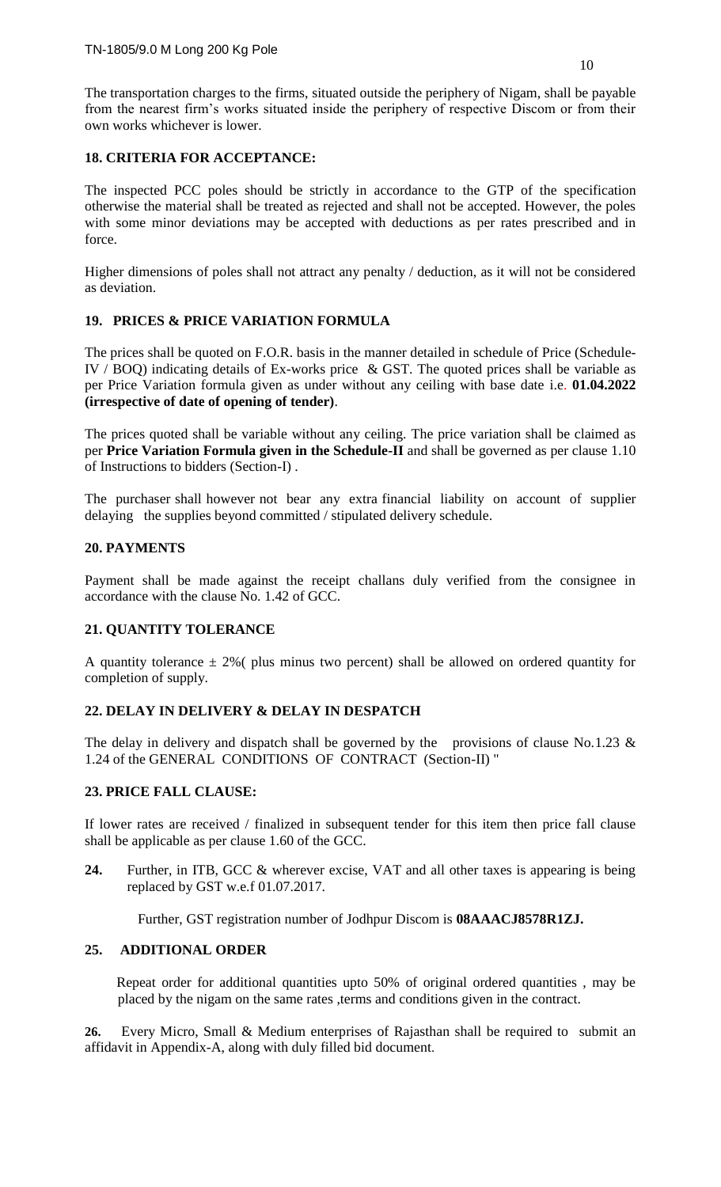The transportation charges to the firms, situated outside the periphery of Nigam, shall be payable from the nearest firm's works situated inside the periphery of respective Discom or from their own works whichever is lower.

## **18. CRITERIA FOR ACCEPTANCE:**

The inspected PCC poles should be strictly in accordance to the GTP of the specification otherwise the material shall be treated as rejected and shall not be accepted. However, the poles with some minor deviations may be accepted with deductions as per rates prescribed and in force.

Higher dimensions of poles shall not attract any penalty / deduction, as it will not be considered as deviation.

## **19. PRICES & PRICE VARIATION FORMULA**

The prices shall be quoted on F.O.R. basis in the manner detailed in schedule of Price (Schedule-IV / BOQ) indicating details of Ex-works price & GST. The quoted prices shall be variable as per Price Variation formula given as under without any ceiling with base date i.e. **01.04.2022 (irrespective of date of opening of tender)**.

The prices quoted shall be variable without any ceiling. The price variation shall be claimed as per **Price Variation Formula given in the Schedule-II** and shall be governed as per clause 1.10 of Instructions to bidders (Section-I) .

The purchaser shall however not bear any extra financial liability on account of supplier delaying the supplies beyond committed / stipulated delivery schedule.

## **20. PAYMENTS**

Payment shall be made against the receipt challans duly verified from the consignee in accordance with the clause No. 1.42 of GCC.

# **21. QUANTITY TOLERANCE**

A quantity tolerance  $\pm 2\%$  (plus minus two percent) shall be allowed on ordered quantity for completion of supply.

# **22. DELAY IN DELIVERY & DELAY IN DESPATCH**

The delay in delivery and dispatch shall be governed by the provisions of clause No.1.23  $\&$ 1.24 of the GENERAL CONDITIONS OF CONTRACT (Section-II) "

# **23. PRICE FALL CLAUSE:**

If lower rates are received / finalized in subsequent tender for this item then price fall clause shall be applicable as per clause 1.60 of the GCC.

**24.** Further, in ITB, GCC & wherever excise, VAT and all other taxes is appearing is being replaced by GST w.e.f 01.07.2017.

Further, GST registration number of Jodhpur Discom is **08AAACJ8578R1ZJ.**

#### **25. ADDITIONAL ORDER**

 Repeat order for additional quantities upto 50% of original ordered quantities , may be placed by the nigam on the same rates ,terms and conditions given in the contract.

**26.** Every Micro, Small & Medium enterprises of Rajasthan shall be required to submit an affidavit in Appendix-A, along with duly filled bid document.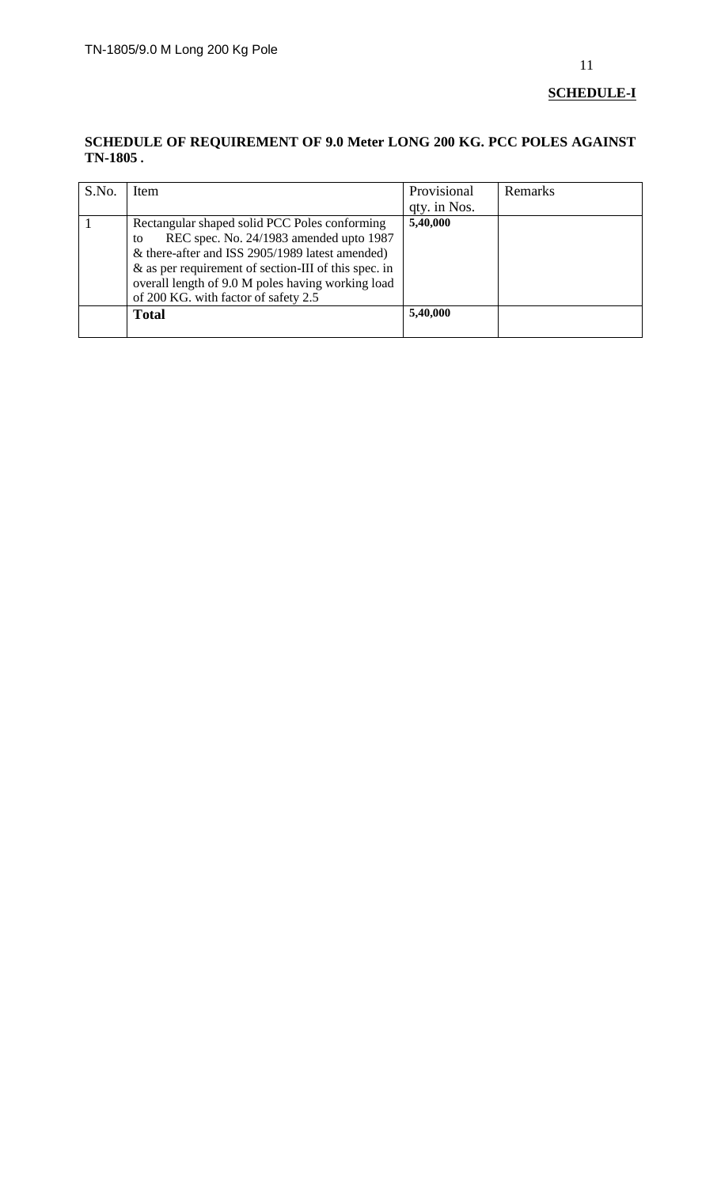# **SCHEDULE-I**

## **SCHEDULE OF REQUIREMENT OF 9.0 Meter LONG 200 KG. PCC POLES AGAINST TN-1805 .**

| S.No. | Item                                                                                                                                                                                                                                                                                                      | Provisional<br>qty. in Nos. | Remarks |
|-------|-----------------------------------------------------------------------------------------------------------------------------------------------------------------------------------------------------------------------------------------------------------------------------------------------------------|-----------------------------|---------|
|       | Rectangular shaped solid PCC Poles conforming<br>REC spec. No. 24/1983 amended upto 1987<br>to<br>& there-after and ISS 2905/1989 latest amended)<br>$\&$ as per requirement of section-III of this spec. in<br>overall length of 9.0 M poles having working load<br>of 200 KG. with factor of safety 2.5 | 5,40,000                    |         |
|       | <b>Total</b>                                                                                                                                                                                                                                                                                              | 5,40,000                    |         |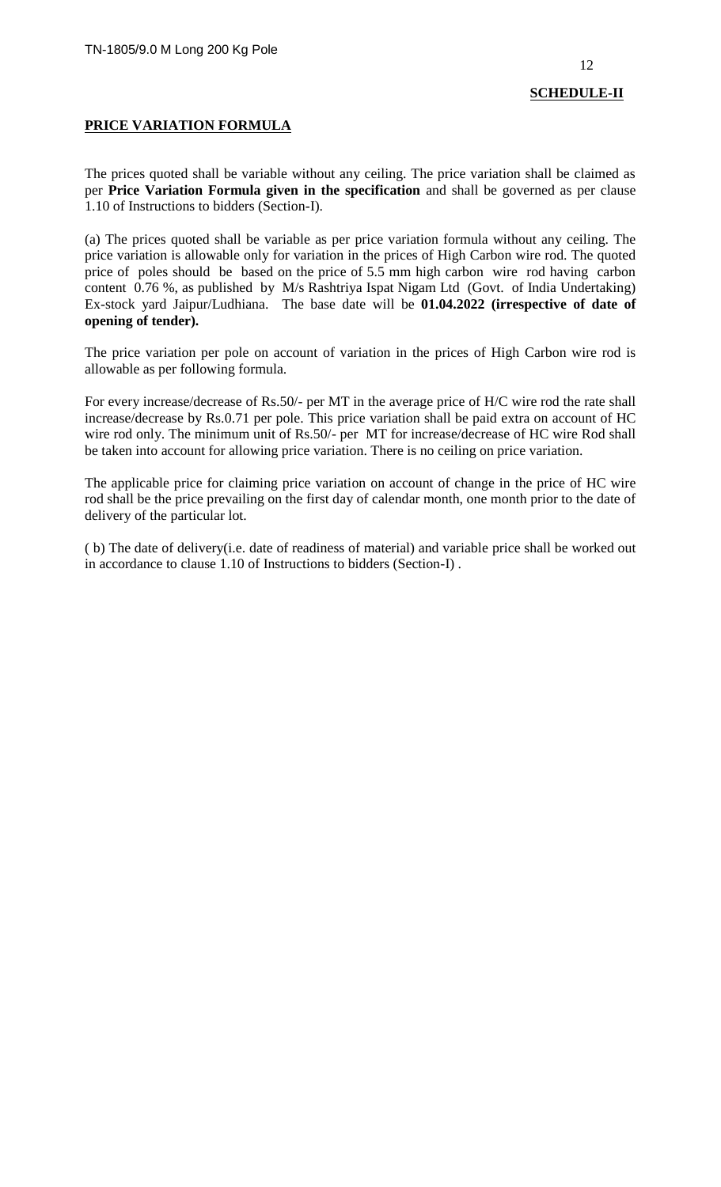# **PRICE VARIATION FORMULA**

The prices quoted shall be variable without any ceiling. The price variation shall be claimed as per **Price Variation Formula given in the specification** and shall be governed as per clause 1.10 of Instructions to bidders (Section-I).

(a) The prices quoted shall be variable as per price variation formula without any ceiling. The price variation is allowable only for variation in the prices of High Carbon wire rod. The quoted price of poles should be based on the price of 5.5 mm high carbon wire rod having carbon content 0.76 %, as published by M/s Rashtriya Ispat Nigam Ltd (Govt. of India Undertaking) Ex-stock yard Jaipur/Ludhiana. The base date will be **01.04.2022 (irrespective of date of opening of tender).**

The price variation per pole on account of variation in the prices of High Carbon wire rod is allowable as per following formula.

For every increase/decrease of Rs.50/- per MT in the average price of H/C wire rod the rate shall increase/decrease by Rs.0.71 per pole. This price variation shall be paid extra on account of HC wire rod only. The minimum unit of Rs.50/- per MT for increase/decrease of HC wire Rod shall be taken into account for allowing price variation. There is no ceiling on price variation.

The applicable price for claiming price variation on account of change in the price of HC wire rod shall be the price prevailing on the first day of calendar month, one month prior to the date of delivery of the particular lot.

( b) The date of delivery(i.e. date of readiness of material) and variable price shall be worked out in accordance to clause 1.10 of Instructions to bidders (Section-I) .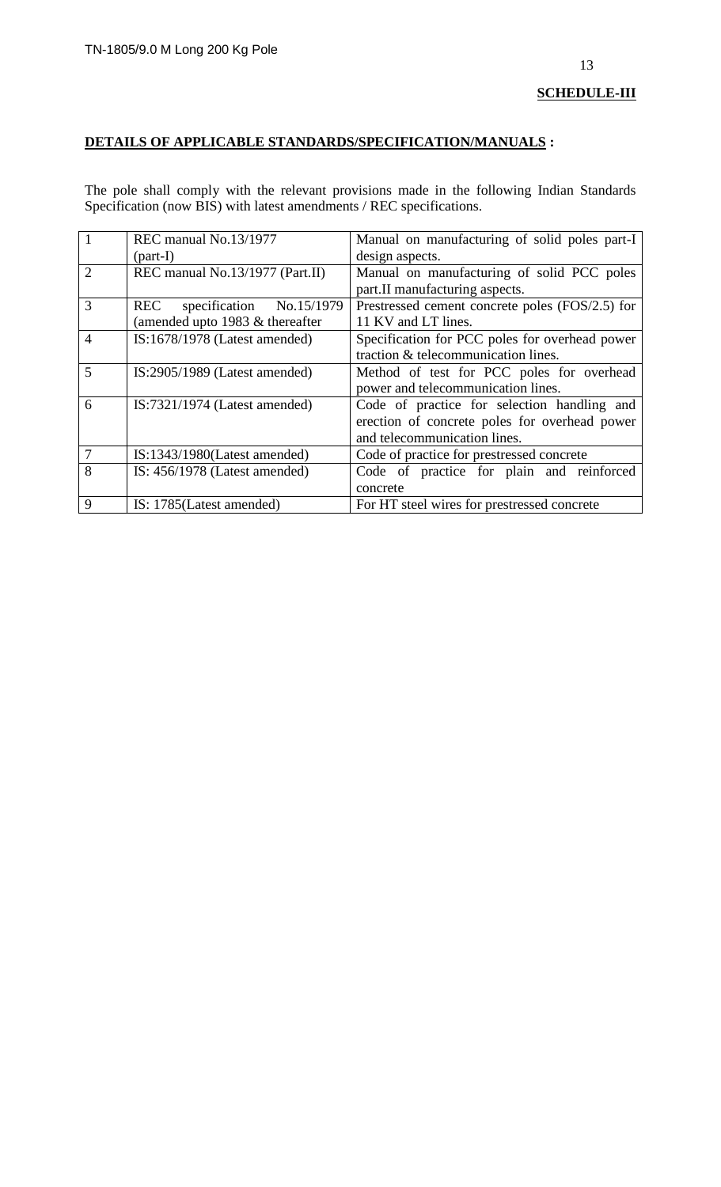# **DETAILS OF APPLICABLE STANDARDS/SPECIFICATION/MANUALS :**

The pole shall comply with the relevant provisions made in the following Indian Standards Specification (now BIS) with latest amendments / REC specifications.

| $\vert$ 1      | REC manual No.13/1977             | Manual on manufacturing of solid poles part-I   |
|----------------|-----------------------------------|-------------------------------------------------|
|                | $\text{(part-I)}$                 | design aspects.                                 |
| $\overline{2}$ | REC manual No.13/1977 (Part.II)   | Manual on manufacturing of solid PCC poles      |
|                |                                   | part.II manufacturing aspects.                  |
| 3              | REC<br>specification No.15/1979   | Prestressed cement concrete poles (FOS/2.5) for |
|                | (amended upto 1983 $&$ thereafter | 11 KV and LT lines.                             |
| $\overline{4}$ | $IS:1678/1978$ (Latest amended)   | Specification for PCC poles for overhead power  |
|                |                                   | traction & telecommunication lines.             |
| 5              | $IS:2905/1989$ (Latest amended)   | Method of test for PCC poles for overhead       |
|                |                                   | power and telecommunication lines.              |
| 6              | $IS:7321/1974$ (Latest amended)   | Code of practice for selection handling and     |
|                |                                   | erection of concrete poles for overhead power   |
|                |                                   | and telecommunication lines.                    |
| 7              | $IS:1343/1980$ (Latest amended)   | Code of practice for prestressed concrete       |
| 8              | IS: $456/1978$ (Latest amended)   | Code of practice for plain and reinforced       |
|                |                                   | concrete                                        |
| 9              | IS: 1785 (Latest amended)         | For HT steel wires for prestressed concrete     |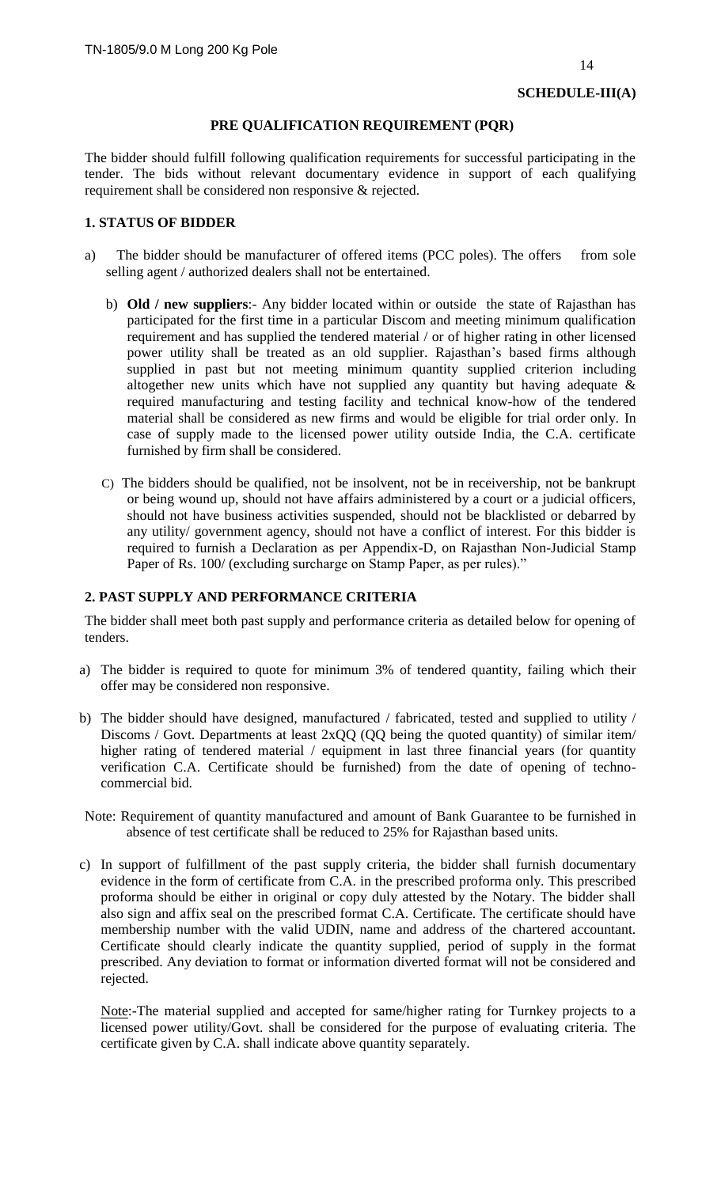## **PRE QUALIFICATION REQUIREMENT (PQR)**

The bidder should fulfill following qualification requirements for successful participating in the tender. The bids without relevant documentary evidence in support of each qualifying requirement shall be considered non responsive & rejected.

## **1. STATUS OF BIDDER**

- a) The bidder should be manufacturer of offered items (PCC poles). The offers from sole selling agent / authorized dealers shall not be entertained.
	- b) **Old / new suppliers**:- Any bidder located within or outside the state of Rajasthan has participated for the first time in a particular Discom and meeting minimum qualification requirement and has supplied the tendered material / or of higher rating in other licensed power utility shall be treated as an old supplier. Rajasthan's based firms although supplied in past but not meeting minimum quantity supplied criterion including altogether new units which have not supplied any quantity but having adequate  $\&$ required manufacturing and testing facility and technical know-how of the tendered material shall be considered as new firms and would be eligible for trial order only. In case of supply made to the licensed power utility outside India, the C.A. certificate furnished by firm shall be considered.
	- C) The bidders should be qualified, not be insolvent, not be in receivership, not be bankrupt or being wound up, should not have affairs administered by a court or a judicial officers, should not have business activities suspended, should not be blacklisted or debarred by any utility/ government agency, should not have a conflict of interest. For this bidder is required to furnish a Declaration as per Appendix-D, on Rajasthan Non-Judicial Stamp Paper of Rs. 100/ (excluding surcharge on Stamp Paper, as per rules)."

#### **2. PAST SUPPLY AND PERFORMANCE CRITERIA**

The bidder shall meet both past supply and performance criteria as detailed below for opening of tenders.

- a) The bidder is required to quote for minimum 3% of tendered quantity, failing which their offer may be considered non responsive.
- b) The bidder should have designed, manufactured / fabricated, tested and supplied to utility / Discoms / Govt. Departments at least 2xQQ (QQ being the quoted quantity) of similar item/ higher rating of tendered material / equipment in last three financial years (for quantity verification C.A. Certificate should be furnished) from the date of opening of technocommercial bid.
- Note: Requirement of quantity manufactured and amount of Bank Guarantee to be furnished in absence of test certificate shall be reduced to 25% for Rajasthan based units.
- c) In support of fulfillment of the past supply criteria, the bidder shall furnish documentary evidence in the form of certificate from C.A. in the prescribed proforma only. This prescribed proforma should be either in original or copy duly attested by the Notary. The bidder shall also sign and affix seal on the prescribed format C.A. Certificate. The certificate should have membership number with the valid UDIN, name and address of the chartered accountant. Certificate should clearly indicate the quantity supplied, period of supply in the format prescribed. Any deviation to format or information diverted format will not be considered and rejected.

Note:-The material supplied and accepted for same/higher rating for Turnkey projects to a licensed power utility/Govt. shall be considered for the purpose of evaluating criteria. The certificate given by C.A. shall indicate above quantity separately.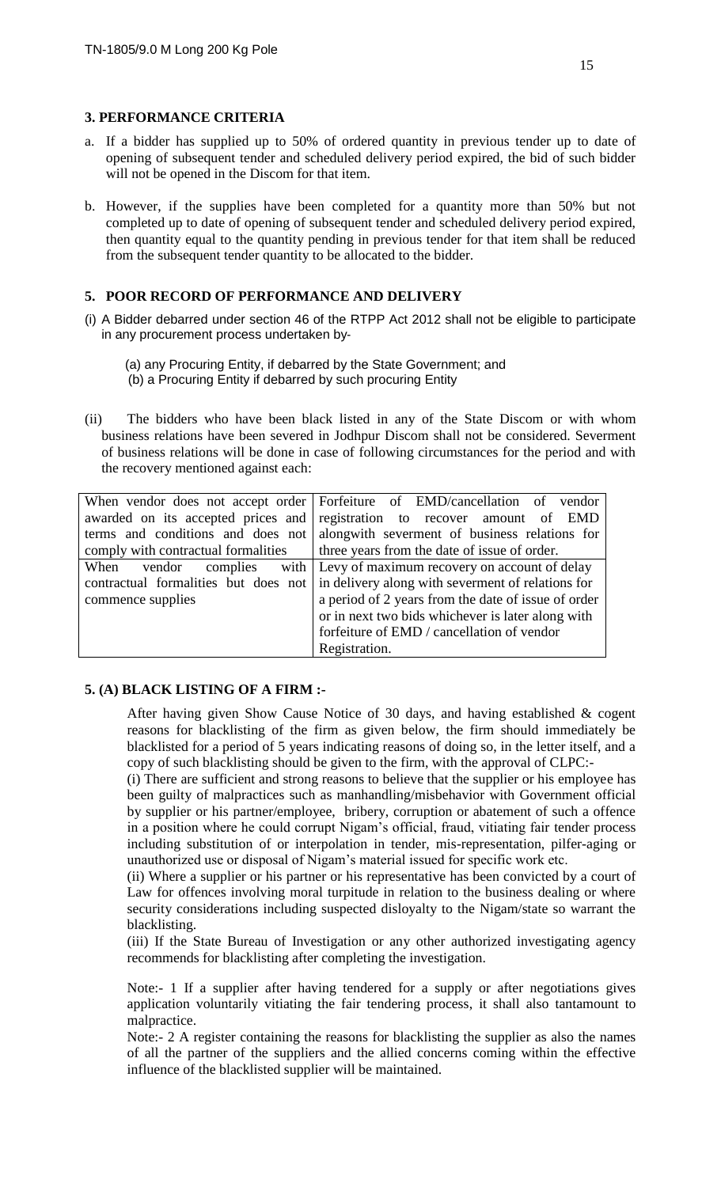#### **3. PERFORMANCE CRITERIA**

- a. If a bidder has supplied up to 50% of ordered quantity in previous tender up to date of opening of subsequent tender and scheduled delivery period expired, the bid of such bidder will not be opened in the Discom for that item.
- b. However, if the supplies have been completed for a quantity more than 50% but not completed up to date of opening of subsequent tender and scheduled delivery period expired, then quantity equal to the quantity pending in previous tender for that item shall be reduced from the subsequent tender quantity to be allocated to the bidder.

#### **5. POOR RECORD OF PERFORMANCE AND DELIVERY**

(i) A Bidder debarred under section 46 of the RTPP Act 2012 shall not be eligible to participate in any procurement process undertaken by‐

(a) any Procuring Entity, if debarred by the State Government; and (b) a Procuring Entity if debarred by such procuring Entity

(ii) The bidders who have been black listed in any of the State Discom or with whom business relations have been severed in Jodhpur Discom shall not be considered. Severment of business relations will be done in case of following circumstances for the period and with the recovery mentioned against each:

|                   | When vendor does not accept order Forfeiture of EMD/cancellation of vendor             |
|-------------------|----------------------------------------------------------------------------------------|
|                   | awarded on its accepted prices and registration to recover amount of EMD               |
|                   | terms and conditions and does not along with severment of business relations for       |
|                   | comply with contractual formalities the vears from the date of issue of order.         |
|                   | When vendor complies with Levy of maximum recovery on account of delay                 |
|                   | contractual formalities but does not in delivery along with severment of relations for |
| commence supplies | a period of 2 years from the date of issue of order                                    |
|                   | or in next two bids whichever is later along with                                      |
|                   | forfeiture of EMD / cancellation of vendor                                             |
|                   | Registration.                                                                          |

#### **5. (A) BLACK LISTING OF A FIRM :-**

After having given Show Cause Notice of 30 days, and having established & cogent reasons for blacklisting of the firm as given below, the firm should immediately be blacklisted for a period of 5 years indicating reasons of doing so, in the letter itself, and a copy of such blacklisting should be given to the firm, with the approval of CLPC:-

(i) There are sufficient and strong reasons to believe that the supplier or his employee has been guilty of malpractices such as manhandling/misbehavior with Government official by supplier or his partner/employee, bribery, corruption or abatement of such a offence in a position where he could corrupt Nigam's official, fraud, vitiating fair tender process including substitution of or interpolation in tender, mis-representation, pilfer-aging or unauthorized use or disposal of Nigam's material issued for specific work etc.

(ii) Where a supplier or his partner or his representative has been convicted by a court of Law for offences involving moral turpitude in relation to the business dealing or where security considerations including suspected disloyalty to the Nigam/state so warrant the blacklisting.

(iii) If the State Bureau of Investigation or any other authorized investigating agency recommends for blacklisting after completing the investigation.

Note:- 1 If a supplier after having tendered for a supply or after negotiations gives application voluntarily vitiating the fair tendering process, it shall also tantamount to malpractice.

Note:- 2 A register containing the reasons for blacklisting the supplier as also the names of all the partner of the suppliers and the allied concerns coming within the effective influence of the blacklisted supplier will be maintained.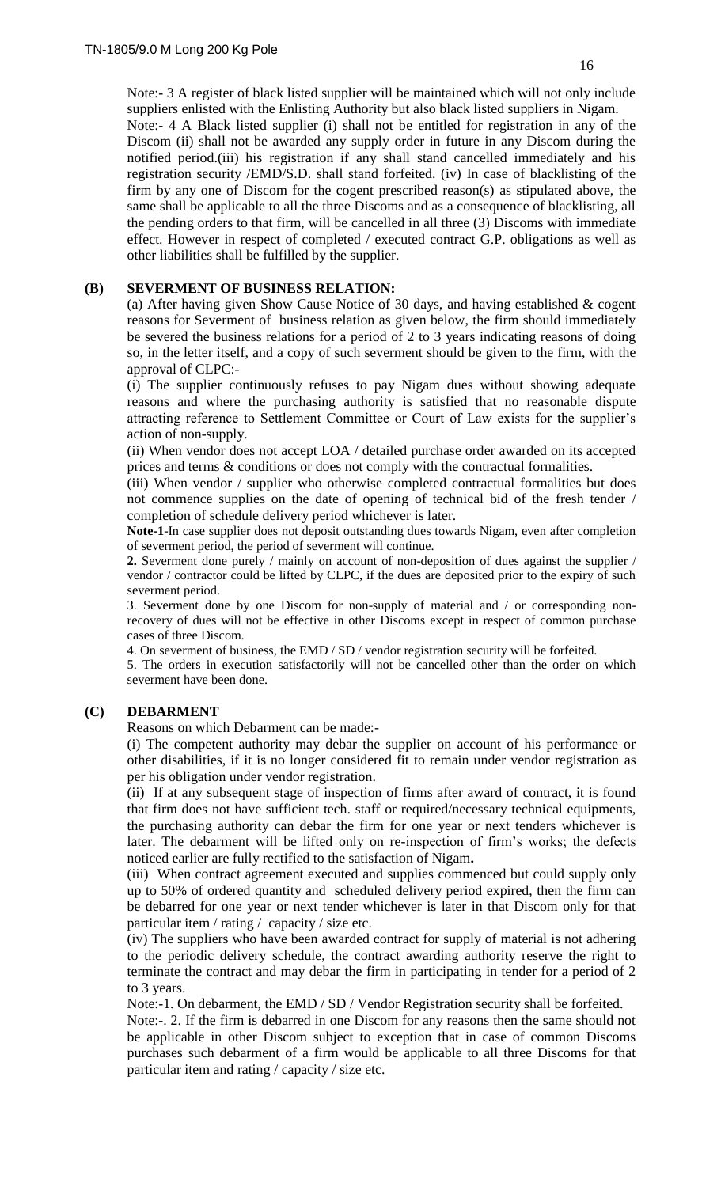Discom (ii) shall not be awarded any supply order in future in any Discom during the notified period.(iii) his registration if any shall stand cancelled immediately and his registration security /EMD/S.D. shall stand forfeited. (iv) In case of blacklisting of the firm by any one of Discom for the cogent prescribed reason(s) as stipulated above, the same shall be applicable to all the three Discoms and as a consequence of blacklisting, all the pending orders to that firm, will be cancelled in all three (3) Discoms with immediate effect. However in respect of completed / executed contract G.P. obligations as well as other liabilities shall be fulfilled by the supplier.

#### **(B) SEVERMENT OF BUSINESS RELATION:**

(a) After having given Show Cause Notice of 30 days, and having established & cogent reasons for Severment of business relation as given below, the firm should immediately be severed the business relations for a period of 2 to 3 years indicating reasons of doing so, in the letter itself, and a copy of such severment should be given to the firm, with the approval of CLPC:-

(i) The supplier continuously refuses to pay Nigam dues without showing adequate reasons and where the purchasing authority is satisfied that no reasonable dispute attracting reference to Settlement Committee or Court of Law exists for the supplier's action of non-supply.

(ii) When vendor does not accept LOA / detailed purchase order awarded on its accepted prices and terms & conditions or does not comply with the contractual formalities.

(iii) When vendor / supplier who otherwise completed contractual formalities but does not commence supplies on the date of opening of technical bid of the fresh tender / completion of schedule delivery period whichever is later.

**Note-1**-In case supplier does not deposit outstanding dues towards Nigam, even after completion of severment period, the period of severment will continue.

**2.** Severment done purely / mainly on account of non-deposition of dues against the supplier / vendor / contractor could be lifted by CLPC, if the dues are deposited prior to the expiry of such severment period.

3. Severment done by one Discom for non-supply of material and / or corresponding nonrecovery of dues will not be effective in other Discoms except in respect of common purchase cases of three Discom.

4. On severment of business, the EMD / SD / vendor registration security will be forfeited.

5. The orders in execution satisfactorily will not be cancelled other than the order on which severment have been done.

# **(C) DEBARMENT**

Reasons on which Debarment can be made:-

(i) The competent authority may debar the supplier on account of his performance or other disabilities, if it is no longer considered fit to remain under vendor registration as per his obligation under vendor registration.

(ii) If at any subsequent stage of inspection of firms after award of contract, it is found that firm does not have sufficient tech. staff or required/necessary technical equipments, the purchasing authority can debar the firm for one year or next tenders whichever is later. The debarment will be lifted only on re-inspection of firm's works; the defects noticed earlier are fully rectified to the satisfaction of Nigam**.** 

(iii) When contract agreement executed and supplies commenced but could supply only up to 50% of ordered quantity and scheduled delivery period expired, then the firm can be debarred for one year or next tender whichever is later in that Discom only for that particular item / rating / capacity / size etc.

(iv) The suppliers who have been awarded contract for supply of material is not adhering to the periodic delivery schedule, the contract awarding authority reserve the right to terminate the contract and may debar the firm in participating in tender for a period of 2 to 3 years.

Note:-1. On debarment, the EMD / SD / Vendor Registration security shall be forfeited.

Note:-. 2. If the firm is debarred in one Discom for any reasons then the same should not be applicable in other Discom subject to exception that in case of common Discoms purchases such debarment of a firm would be applicable to all three Discoms for that particular item and rating / capacity / size etc.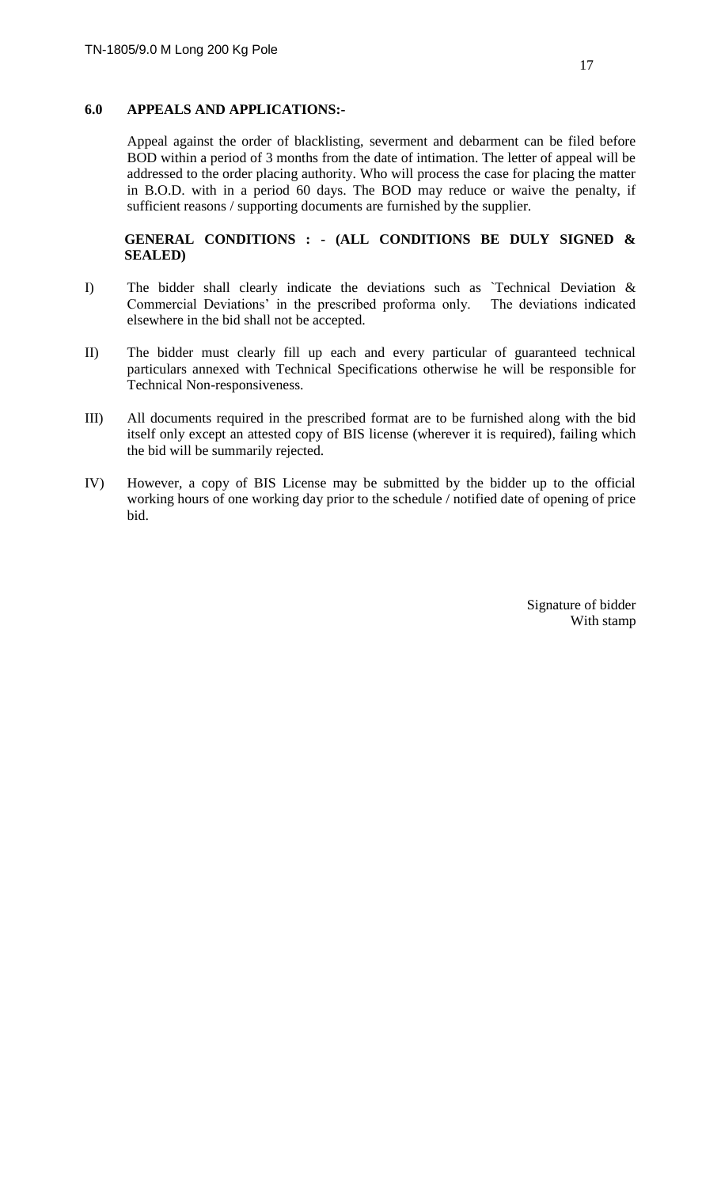## **6.0 APPEALS AND APPLICATIONS:-**

Appeal against the order of blacklisting, severment and debarment can be filed before BOD within a period of 3 months from the date of intimation. The letter of appeal will be addressed to the order placing authority. Who will process the case for placing the matter in B.O.D. with in a period 60 days. The BOD may reduce or waive the penalty, if sufficient reasons / supporting documents are furnished by the supplier.

## **GENERAL CONDITIONS : - (ALL CONDITIONS BE DULY SIGNED & SEALED)**

- I) The bidder shall clearly indicate the deviations such as `Technical Deviation & Commercial Deviations' in the prescribed proforma only. The deviations indicated elsewhere in the bid shall not be accepted.
- II) The bidder must clearly fill up each and every particular of guaranteed technical particulars annexed with Technical Specifications otherwise he will be responsible for Technical Non-responsiveness.
- III) All documents required in the prescribed format are to be furnished along with the bid itself only except an attested copy of BIS license (wherever it is required), failing which the bid will be summarily rejected.
- IV) However, a copy of BIS License may be submitted by the bidder up to the official working hours of one working day prior to the schedule / notified date of opening of price bid.

Signature of bidder With stamp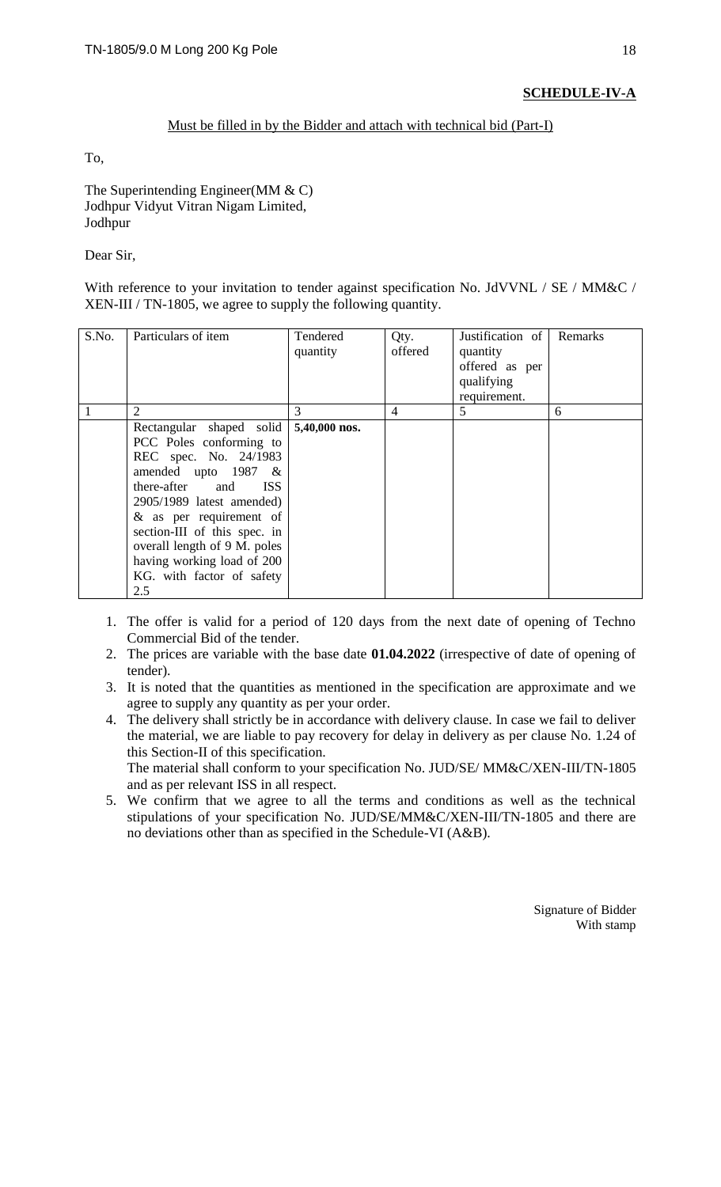# **SCHEDULE-IV-A**

## Must be filled in by the Bidder and attach with technical bid (Part-I)

To,

The Superintending Engineer(MM & C) Jodhpur Vidyut Vitran Nigam Limited, Jodhpur

Dear Sir,

With reference to your invitation to tender against specification No. JdVVNL / SE / MM&C / XEN-III / TN-1805, we agree to supply the following quantity.

| S.No. | Particulars of item                                                                                                                                                                                                                                                                                                                     | Tendered<br>quantity | Qty.<br>offered | Justification of<br>quantity<br>offered as per<br>qualifying<br>requirement. | Remarks |
|-------|-----------------------------------------------------------------------------------------------------------------------------------------------------------------------------------------------------------------------------------------------------------------------------------------------------------------------------------------|----------------------|-----------------|------------------------------------------------------------------------------|---------|
|       | $\overline{2}$                                                                                                                                                                                                                                                                                                                          | 3                    | $\overline{4}$  | 5                                                                            | 6       |
|       | Rectangular shaped solid<br>PCC Poles conforming to<br>REC spec. No. 24/1983<br>amended upto 1987<br>$-\&$<br>there-after and<br><b>ISS</b><br>2905/1989 latest amended)<br>$&$ as per requirement of<br>section-III of this spec. in<br>overall length of 9 M. poles<br>having working load of 200<br>KG. with factor of safety<br>2.5 | 5,40,000 nos.        |                 |                                                                              |         |

- 1. The offer is valid for a period of 120 days from the next date of opening of Techno Commercial Bid of the tender.
- 2. The prices are variable with the base date **01.04.2022** (irrespective of date of opening of tender).
- 3. It is noted that the quantities as mentioned in the specification are approximate and we agree to supply any quantity as per your order.
- 4. The delivery shall strictly be in accordance with delivery clause. In case we fail to deliver the material, we are liable to pay recovery for delay in delivery as per clause No. 1.24 of this Section-II of this specification.

The material shall conform to your specification No. JUD/SE/ MM&C/XEN-III/TN-1805 and as per relevant ISS in all respect.

5. We confirm that we agree to all the terms and conditions as well as the technical stipulations of your specification No. JUD/SE/MM&C/XEN-III/TN-1805 and there are no deviations other than as specified in the Schedule-VI (A&B).

> Signature of Bidder With stamp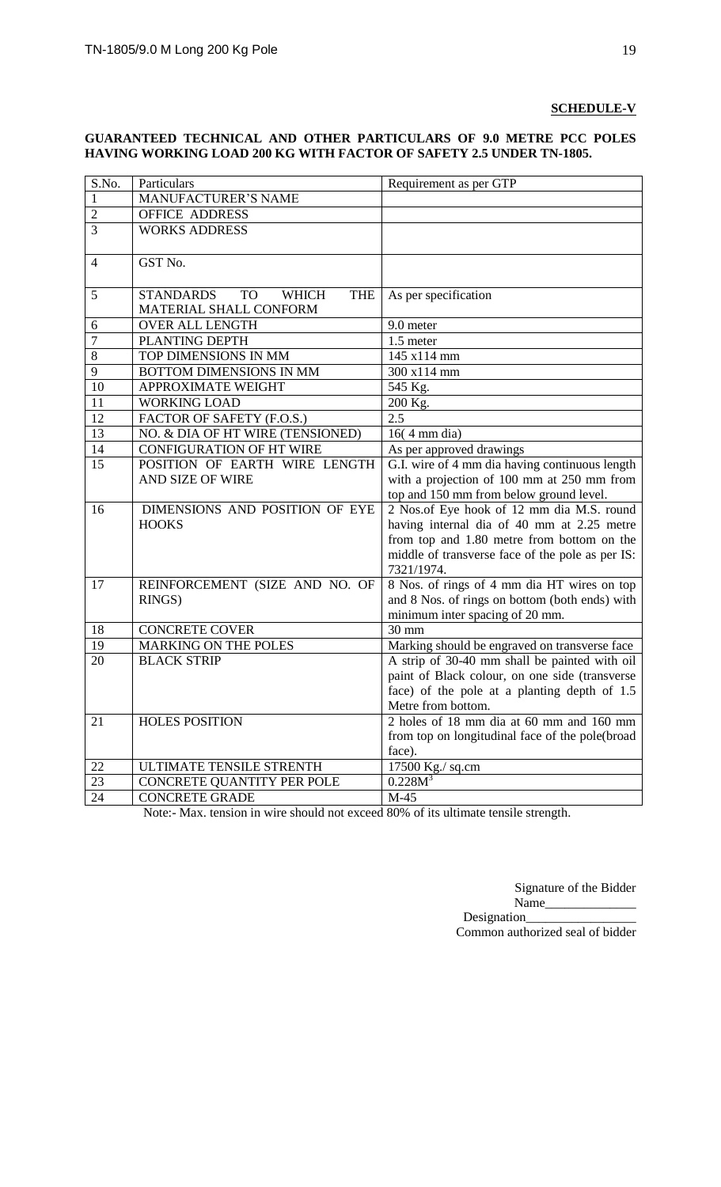#### **SCHEDULE-V**

#### **GUARANTEED TECHNICAL AND OTHER PARTICULARS OF 9.0 METRE PCC POLES HAVING WORKING LOAD 200 KG WITH FACTOR OF SAFETY 2.5 UNDER TN-1805.**

| S.No.          | Particulars                                                 | Requirement as per GTP                           |
|----------------|-------------------------------------------------------------|--------------------------------------------------|
| $\mathbf{1}$   | <b>MANUFACTURER'S NAME</b>                                  |                                                  |
| $\overline{2}$ | <b>OFFICE ADDRESS</b>                                       |                                                  |
| $\overline{3}$ | <b>WORKS ADDRESS</b>                                        |                                                  |
|                |                                                             |                                                  |
| $\overline{4}$ | GST No.                                                     |                                                  |
| 5              | <b>STANDARDS</b><br><b>WHICH</b><br><b>THE</b><br><b>TO</b> | As per specification                             |
|                | MATERIAL SHALL CONFORM                                      |                                                  |
| 6              | <b>OVER ALL LENGTH</b>                                      | 9.0 meter                                        |
| 7              | PLANTING DEPTH                                              | 1.5 meter                                        |
| 8              | TOP DIMENSIONS IN MM                                        | 145 x114 mm                                      |
| 9              | BOTTOM DIMENSIONS IN MM                                     | 300 x114 mm                                      |
| 10             | <b>APPROXIMATE WEIGHT</b>                                   | 545 Kg.                                          |
| 11             | <b>WORKING LOAD</b>                                         | 200 Kg.                                          |
| 12             | FACTOR OF SAFETY (F.O.S.)                                   | 2.5                                              |
| 13             | NO. & DIA OF HT WIRE (TENSIONED)                            | $16(4 \text{ mm dia})$                           |
| 14             | <b>CONFIGURATION OF HT WIRE</b>                             | As per approved drawings                         |
| 15             | POSITION OF EARTH WIRE LENGTH                               | G.I. wire of 4 mm dia having continuous length   |
|                | AND SIZE OF WIRE                                            | with a projection of 100 mm at 250 mm from       |
|                |                                                             | top and 150 mm from below ground level.          |
| 16             | DIMENSIONS AND POSITION OF EYE                              | 2 Nos.of Eye hook of 12 mm dia M.S. round        |
|                | <b>HOOKS</b>                                                | having internal dia of 40 mm at 2.25 metre       |
|                |                                                             | from top and 1.80 metre from bottom on the       |
|                |                                                             | middle of transverse face of the pole as per IS: |
|                |                                                             | 7321/1974.                                       |
| 17             | REINFORCEMENT (SIZE AND NO. OF                              | 8 Nos. of rings of 4 mm dia HT wires on top      |
|                | RINGS)                                                      | and 8 Nos. of rings on bottom (both ends) with   |
|                |                                                             | minimum inter spacing of 20 mm.                  |
| 18             | <b>CONCRETE COVER</b>                                       | 30 mm                                            |
| 19             | <b>MARKING ON THE POLES</b>                                 | Marking should be engraved on transverse face    |
| 20             | <b>BLACK STRIP</b>                                          | A strip of 30-40 mm shall be painted with oil    |
|                |                                                             | paint of Black colour, on one side (transverse   |
|                |                                                             | face) of the pole at a planting depth of 1.5     |
|                |                                                             | Metre from bottom.                               |
| 21             | <b>HOLES POSITION</b>                                       | 2 holes of 18 mm dia at 60 mm and 160 mm         |
|                |                                                             | from top on longitudinal face of the pole(broad  |
|                |                                                             | face).                                           |
| 22             | ULTIMATE TENSILE STRENTH                                    | 17500 Kg./ sq.cm                                 |
| 23             | CONCRETE QUANTITY PER POLE                                  | $0.228M^{3}$                                     |
| 24             | <b>CONCRETE GRADE</b>                                       | $M-45$                                           |

Note:- Max. tension in wire should not exceed 80% of its ultimate tensile strength.

Signature of the Bidder Name\_\_\_\_\_\_\_\_\_\_\_\_\_\_ Designation\_\_\_\_\_\_\_\_\_\_\_\_\_\_\_\_\_

Common authorized seal of bidder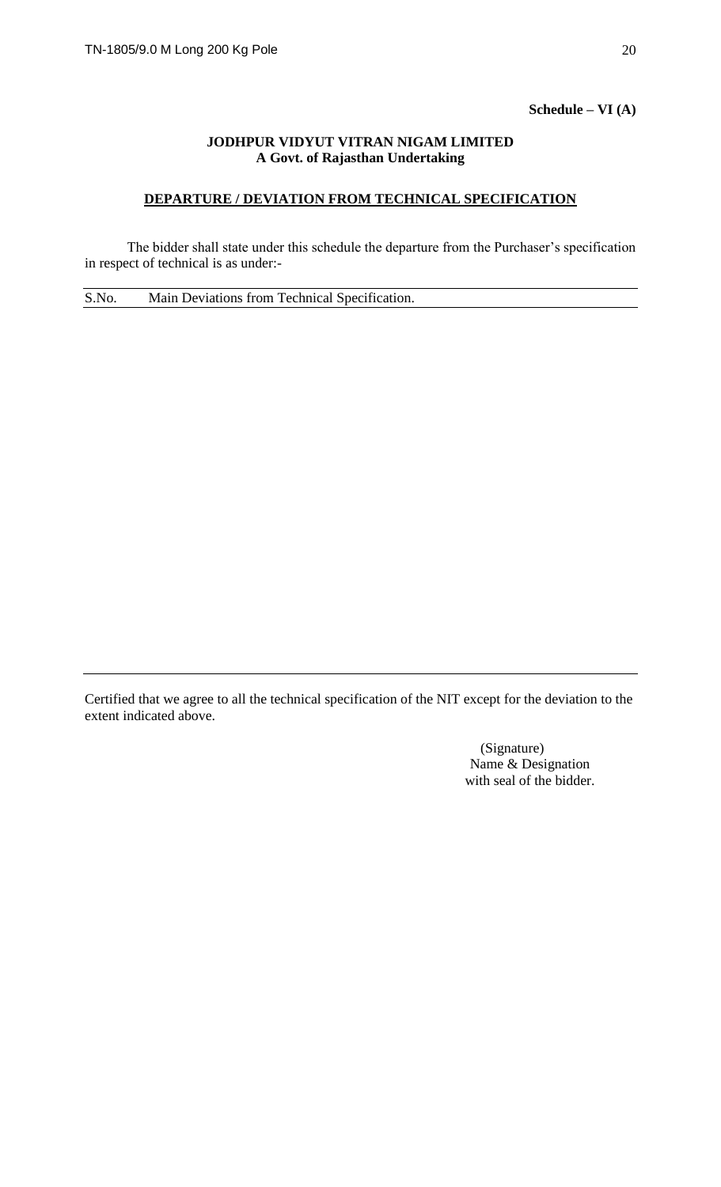#### **Schedule – VI (A)**

#### **JODHPUR VIDYUT VITRAN NIGAM LIMITED A Govt. of Rajasthan Undertaking**

#### **DEPARTURE / DEVIATION FROM TECHNICAL SPECIFICATION**

The bidder shall state under this schedule the departure from the Purchaser's specification in respect of technical is as under:-

S.No. Main Deviations from Technical Specification.

Certified that we agree to all the technical specification of the NIT except for the deviation to the extent indicated above.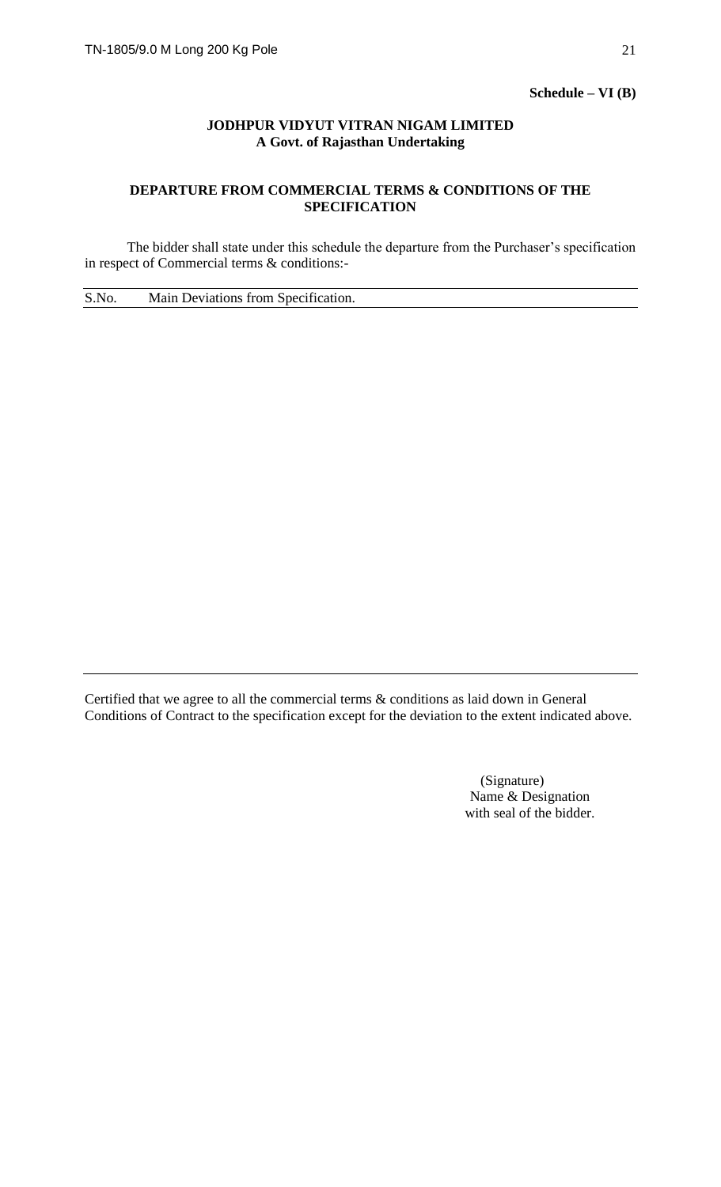**Schedule – VI (B)**

#### **JODHPUR VIDYUT VITRAN NIGAM LIMITED A Govt. of Rajasthan Undertaking**

## **DEPARTURE FROM COMMERCIAL TERMS & CONDITIONS OF THE SPECIFICATION**

The bidder shall state under this schedule the departure from the Purchaser's specification in respect of Commercial terms & conditions:-

S.No. Main Deviations from Specification.

Certified that we agree to all the commercial terms & conditions as laid down in General Conditions of Contract to the specification except for the deviation to the extent indicated above.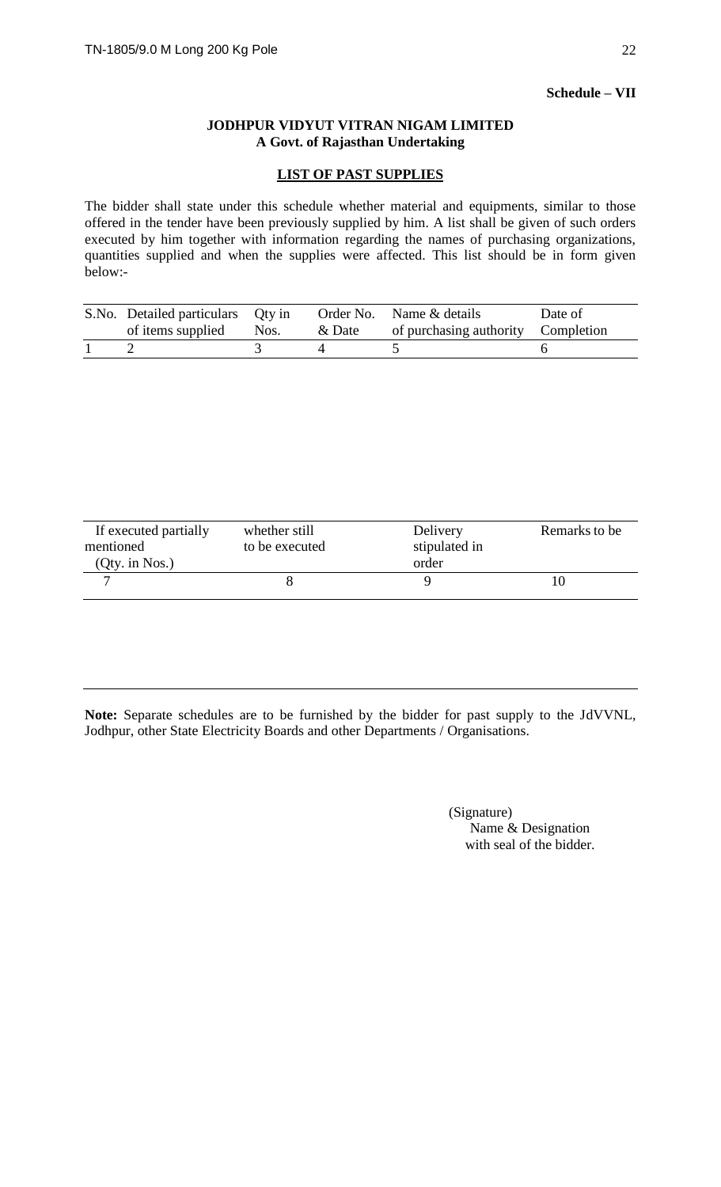## **Schedule – VII**

#### **JODHPUR VIDYUT VITRAN NIGAM LIMITED A Govt. of Rajasthan Undertaking**

#### **LIST OF PAST SUPPLIES**

The bidder shall state under this schedule whether material and equipments, similar to those offered in the tender have been previously supplied by him. A list shall be given of such orders executed by him together with information regarding the names of purchasing organizations, quantities supplied and when the supplies were affected. This list should be in form given below:-

| S.No. Detailed particulars Qty in<br>of items supplied | Nos. | & Date | Order No. Name & details<br>of purchasing authority Completion | Date of |
|--------------------------------------------------------|------|--------|----------------------------------------------------------------|---------|
|                                                        |      |        |                                                                |         |

| If executed partially<br>mentioned | whether still<br>to be executed | Delivery<br>stipulated in | Remarks to be |
|------------------------------------|---------------------------------|---------------------------|---------------|
| (Qty. in Nos.)                     |                                 | order                     |               |
|                                    |                                 |                           |               |

**Note:** Separate schedules are to be furnished by the bidder for past supply to the JdVVNL, Jodhpur, other State Electricity Boards and other Departments / Organisations.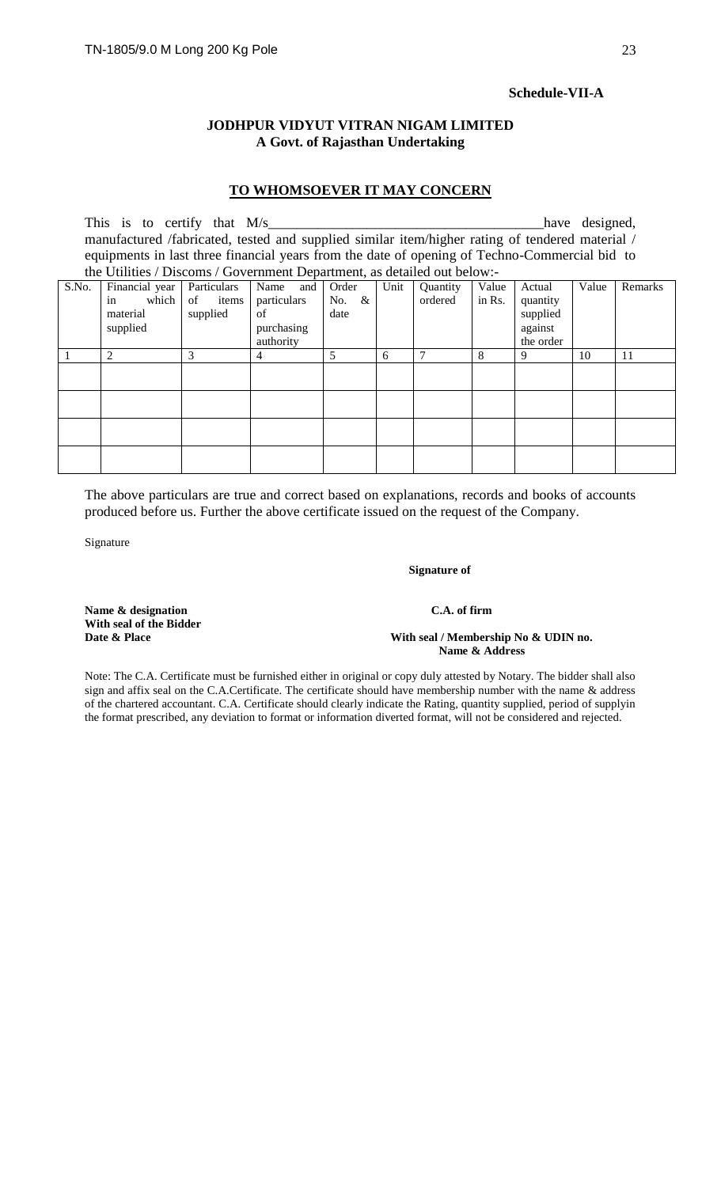#### **Schedule-VII-A**

#### **JODHPUR VIDYUT VITRAN NIGAM LIMITED A Govt. of Rajasthan Undertaking**

#### **TO WHOMSOEVER IT MAY CONCERN**

This is to certify that M/s\_\_\_\_\_\_\_\_\_\_\_\_\_\_\_\_\_\_\_\_\_\_\_\_\_\_\_\_\_\_\_\_\_\_\_\_\_\_\_have designed, manufactured /fabricated, tested and supplied similar item/higher rating of tendered material / equipments in last three financial years from the date of opening of Techno-Commercial bid to the Utilities / Discoms / Government Department, as detailed out below:-

| S.No. | Financial year<br>which<br>in<br>material<br>supplied | Particulars<br>items<br>of<br>supplied | Name<br>and<br>particulars<br>of<br>purchasing<br>authority | Order<br>$\&$<br>No.<br>date | Unit | Quantity<br>ordered | Value<br>in Rs. | Actual<br>quantity<br>supplied<br>against<br>the order | Value | Remarks |
|-------|-------------------------------------------------------|----------------------------------------|-------------------------------------------------------------|------------------------------|------|---------------------|-----------------|--------------------------------------------------------|-------|---------|
|       | 2                                                     | 3                                      | $\overline{4}$                                              | 5                            | 6    | $\overline{7}$      | 8               | 9                                                      | 10    | 11      |
|       |                                                       |                                        |                                                             |                              |      |                     |                 |                                                        |       |         |
|       |                                                       |                                        |                                                             |                              |      |                     |                 |                                                        |       |         |
|       |                                                       |                                        |                                                             |                              |      |                     |                 |                                                        |       |         |

The above particulars are true and correct based on explanations, records and books of accounts produced before us. Further the above certificate issued on the request of the Company.

Signature

#### **Signature of**

Name & designation C.A. of firm **With seal of the Bidder** 

# With seal / Membership No & UDIN no.

 **Name & Address**

Note: The C.A. Certificate must be furnished either in original or copy duly attested by Notary. The bidder shall also sign and affix seal on the C.A.Certificate. The certificate should have membership number with the name & address of the chartered accountant. C.A. Certificate should clearly indicate the Rating, quantity supplied, period of supplyin the format prescribed, any deviation to format or information diverted format, will not be considered and rejected.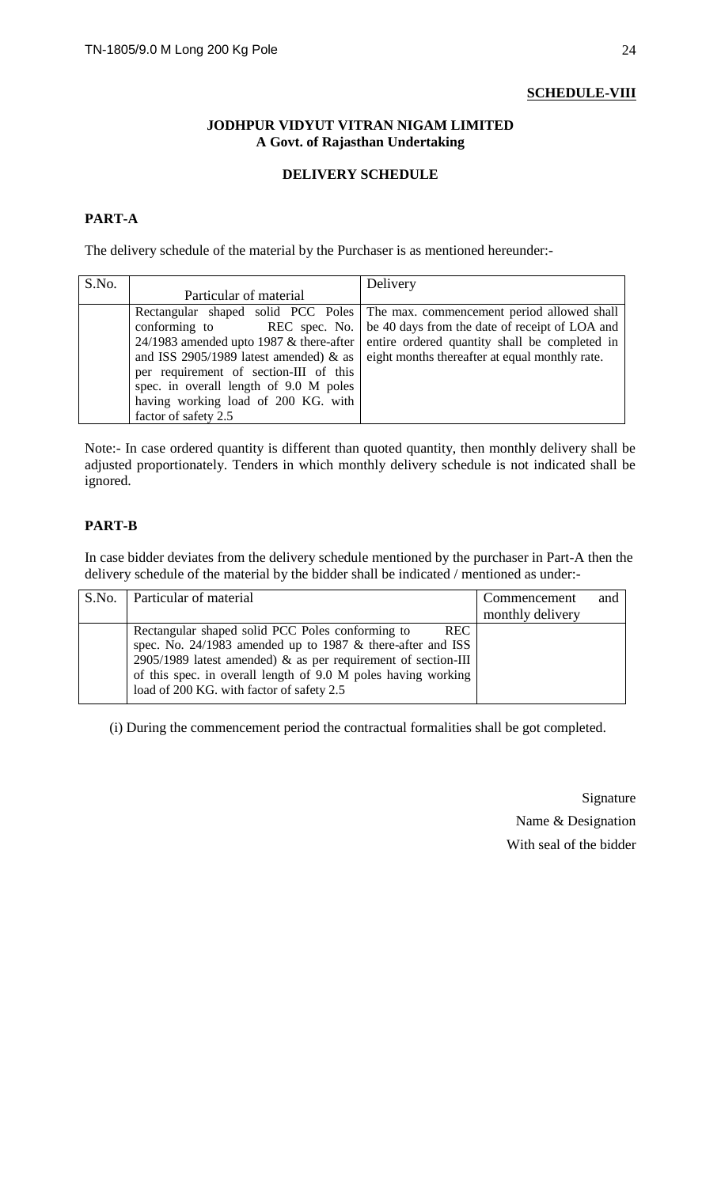## **SCHEDULE-VIII**

#### **JODHPUR VIDYUT VITRAN NIGAM LIMITED A Govt. of Rajasthan Undertaking**

## **DELIVERY SCHEDULE**

# **PART-A**

The delivery schedule of the material by the Purchaser is as mentioned hereunder:-

| S.No. |                                           | Delivery                                                                      |
|-------|-------------------------------------------|-------------------------------------------------------------------------------|
|       | Particular of material                    |                                                                               |
|       |                                           | Rectangular shaped solid PCC Poles The max. commencement period allowed shall |
|       | conforming to<br>REC spec. No.            | be 40 days from the date of receipt of LOA and                                |
|       | 24/1983 amended upto 1987 $&$ there-after | entire ordered quantity shall be completed in                                 |
|       | and ISS 2905/1989 latest amended) $\&$ as | eight months thereafter at equal monthly rate.                                |
|       | per requirement of section-III of this    |                                                                               |
|       | spec. in overall length of 9.0 M poles    |                                                                               |
|       | having working load of 200 KG. with       |                                                                               |
|       | factor of safety 2.5                      |                                                                               |

Note:- In case ordered quantity is different than quoted quantity, then monthly delivery shall be adjusted proportionately. Tenders in which monthly delivery schedule is not indicated shall be ignored.

## **PART-B**

In case bidder deviates from the delivery schedule mentioned by the purchaser in Part-A then the delivery schedule of the material by the bidder shall be indicated / mentioned as under:-

| S.No.   Particular of material                                                                                                                                                                                                                                                                                   | Commencement     | and |
|------------------------------------------------------------------------------------------------------------------------------------------------------------------------------------------------------------------------------------------------------------------------------------------------------------------|------------------|-----|
|                                                                                                                                                                                                                                                                                                                  | monthly delivery |     |
| <b>REC</b><br>Rectangular shaped solid PCC Poles conforming to<br>spec. No. $24/1983$ amended up to 1987 & there-after and ISS<br>2905/1989 latest amended) $\&$ as per requirement of section-III<br>of this spec. in overall length of 9.0 M poles having working<br>load of 200 KG. with factor of safety 2.5 |                  |     |
|                                                                                                                                                                                                                                                                                                                  |                  |     |

(i) During the commencement period the contractual formalities shall be got completed.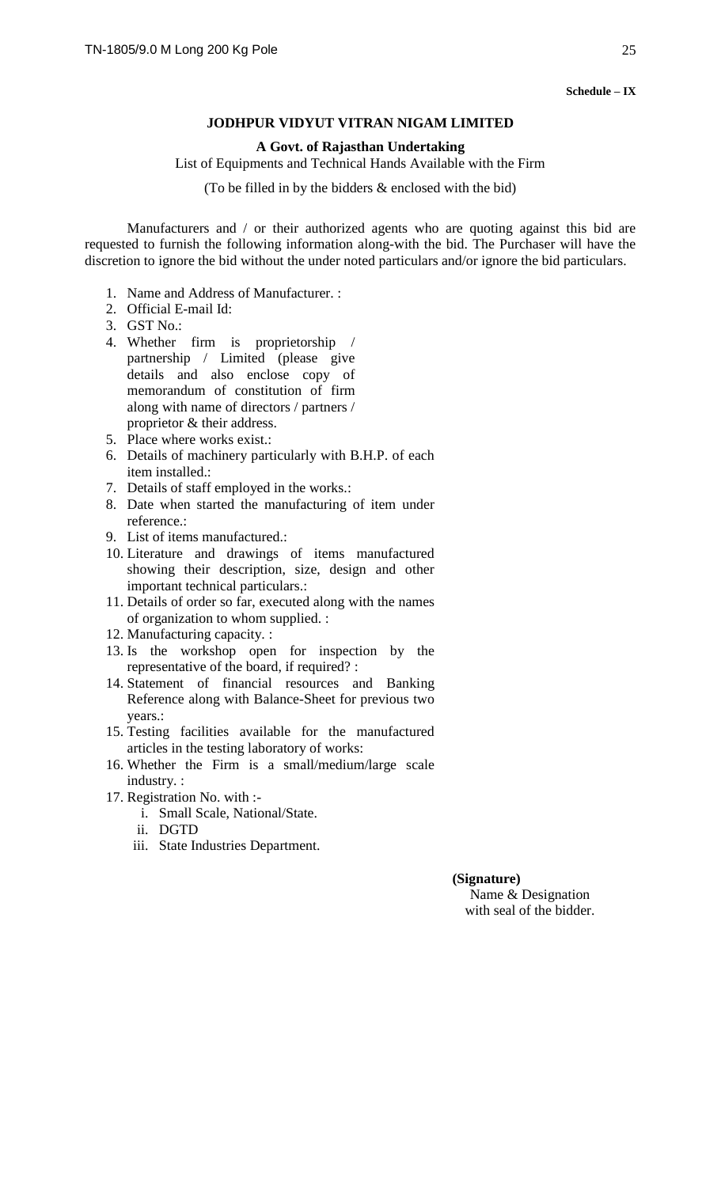**Schedule – IX**

#### **JODHPUR VIDYUT VITRAN NIGAM LIMITED**

#### **A Govt. of Rajasthan Undertaking**

List of Equipments and Technical Hands Available with the Firm

(To be filled in by the bidders & enclosed with the bid)

Manufacturers and / or their authorized agents who are quoting against this bid are requested to furnish the following information along-with the bid. The Purchaser will have the discretion to ignore the bid without the under noted particulars and/or ignore the bid particulars.

- 1. Name and Address of Manufacturer. :
- 2. Official E-mail Id:
- 3. GST No.:
- 4. Whether firm is proprietorship / partnership / Limited (please give details and also enclose copy of memorandum of constitution of firm along with name of directors / partners / proprietor & their address.
- 5. Place where works exist.:
- 6. Details of machinery particularly with B.H.P. of each item installed.:
- 7. Details of staff employed in the works.:
- 8. Date when started the manufacturing of item under reference.:
- 9. List of items manufactured.:
- 10. Literature and drawings of items manufactured showing their description, size, design and other important technical particulars.:
- 11. Details of order so far, executed along with the names of organization to whom supplied. :
- 12. Manufacturing capacity. :
- 13. Is the workshop open for inspection by the representative of the board, if required? :
- 14. Statement of financial resources and Banking Reference along with Balance-Sheet for previous two years.:
- 15. Testing facilities available for the manufactured articles in the testing laboratory of works:
- 16. Whether the Firm is a small/medium/large scale industry. :
- 17. Registration No. with :
	- i. Small Scale, National/State.
	- ii. DGTD
	- iii. State Industries Department.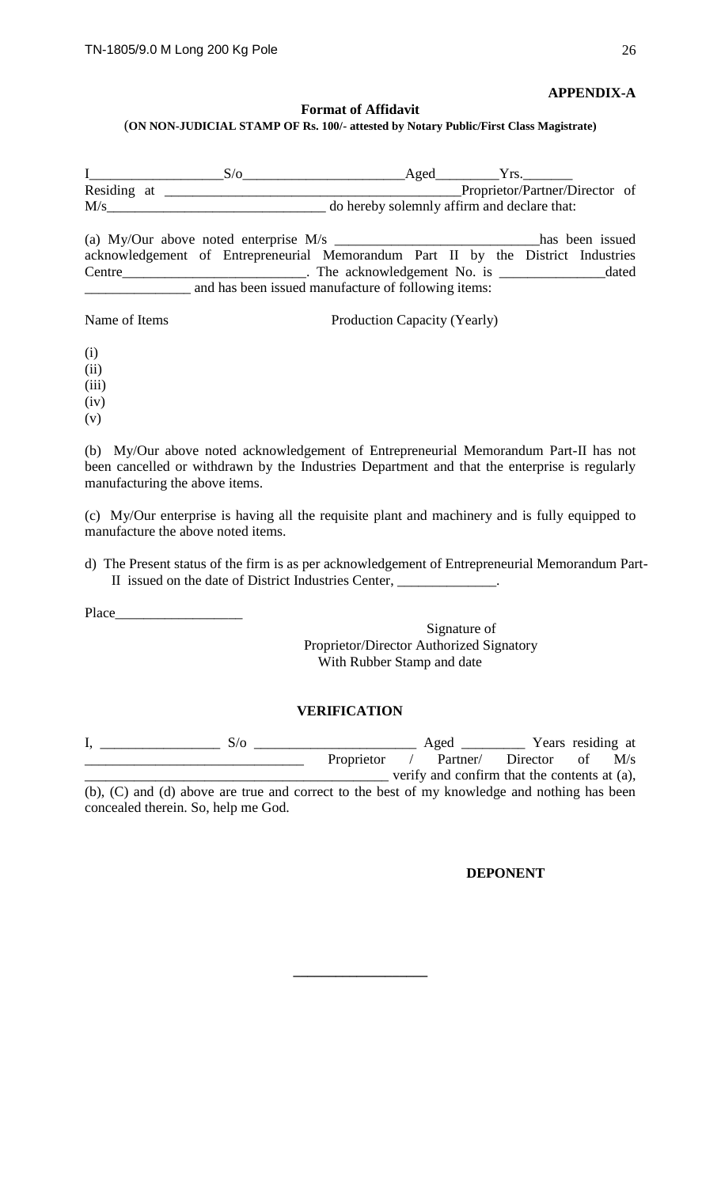**APPENDIX-A**

#### **Format of Affidavit**

(**ON NON-JUDICIAL STAMP OF Rs. 100/- attested by Notary Public/First Class Magistrate)**

|             | 3/ο | Aged |                                             |  |
|-------------|-----|------|---------------------------------------------|--|
| Residing at |     |      | Proprietor/Partner/Director of              |  |
| M/s         |     |      | do hereby solemnly affirm and declare that: |  |
|             |     |      |                                             |  |

(a) My/Our above noted enterprise M/s \_\_\_\_\_\_\_\_\_\_\_\_\_\_\_\_\_\_\_\_\_\_\_\_\_\_\_\_\_has been issued acknowledgement of Entrepreneurial Memorandum Part II by the District Industries Centre\_\_\_\_\_\_\_\_\_\_\_\_\_\_\_\_\_\_\_\_\_\_\_\_\_\_. The acknowledgement No. is \_\_\_\_\_\_\_\_\_\_\_\_\_\_\_dated \_\_\_\_\_\_\_\_\_\_\_\_\_\_\_ and has been issued manufacture of following items:

Name of Items Production Capacity (Yearly)

(i) (ii) (iii)

(iv)

(v)

(b) My/Our above noted acknowledgement of Entrepreneurial Memorandum Part-II has not been cancelled or withdrawn by the Industries Department and that the enterprise is regularly manufacturing the above items.

(c) My/Our enterprise is having all the requisite plant and machinery and is fully equipped to manufacture the above noted items.

d) The Present status of the firm is as per acknowledgement of Entrepreneurial Memorandum Part-II issued on the date of District Industries Center,

Place\_\_\_\_\_\_

Signature of Proprietor/Director Authorized Signatory With Rubber Stamp and date

## **VERIFICATION**

| S/o                                                                                          |                   | Aged     |                                              |    | Years residing at |
|----------------------------------------------------------------------------------------------|-------------------|----------|----------------------------------------------|----|-------------------|
|                                                                                              | <b>Proprietor</b> | Partner/ | Director                                     | of | M/s               |
|                                                                                              |                   |          | verify and confirm that the contents at (a), |    |                   |
| (b), (C) and (d) above are true and correct to the best of my knowledge and nothing has been |                   |          |                                              |    |                   |

concealed therein. So, help me God.

**\_\_\_\_\_\_\_\_\_\_\_\_\_\_\_\_\_\_\_**

#### **DEPONENT**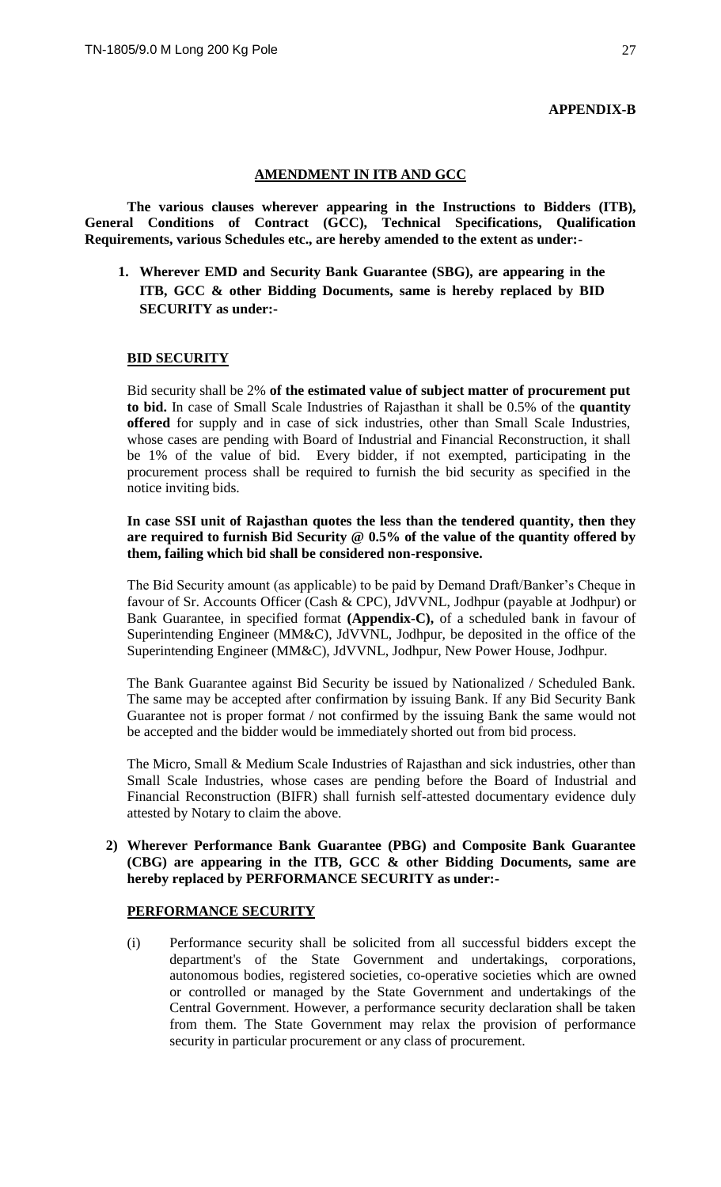#### **APPENDIX-B**

#### **AMENDMENT IN ITB AND GCC**

**The various clauses wherever appearing in the Instructions to Bidders (ITB), General Conditions of Contract (GCC), Technical Specifications, Qualification Requirements, various Schedules etc., are hereby amended to the extent as under:-**

**1. Wherever EMD and Security Bank Guarantee (SBG), are appearing in the ITB, GCC & other Bidding Documents, same is hereby replaced by BID SECURITY as under:-**

#### **BID SECURITY**

Bid security shall be 2% **of the estimated value of subject matter of procurement put to bid.** In case of Small Scale Industries of Rajasthan it shall be 0.5% of the **quantity offered** for supply and in case of sick industries, other than Small Scale Industries, whose cases are pending with Board of Industrial and Financial Reconstruction, it shall be 1% of the value of bid. Every bidder, if not exempted, participating in the procurement process shall be required to furnish the bid security as specified in the notice inviting bids.

#### **In case SSI unit of Rajasthan quotes the less than the tendered quantity, then they are required to furnish Bid Security @ 0.5% of the value of the quantity offered by them, failing which bid shall be considered non-responsive.**

The Bid Security amount (as applicable) to be paid by Demand Draft/Banker's Cheque in favour of Sr. Accounts Officer (Cash & CPC), JdVVNL, Jodhpur (payable at Jodhpur) or Bank Guarantee, in specified format **(Appendix-C),** of a scheduled bank in favour of Superintending Engineer (MM&C), JdVVNL, Jodhpur, be deposited in the office of the Superintending Engineer (MM&C), JdVVNL, Jodhpur, New Power House, Jodhpur.

The Bank Guarantee against Bid Security be issued by Nationalized / Scheduled Bank. The same may be accepted after confirmation by issuing Bank. If any Bid Security Bank Guarantee not is proper format / not confirmed by the issuing Bank the same would not be accepted and the bidder would be immediately shorted out from bid process.

The Micro, Small & Medium Scale Industries of Rajasthan and sick industries, other than Small Scale Industries, whose cases are pending before the Board of Industrial and Financial Reconstruction (BIFR) shall furnish self-attested documentary evidence duly attested by Notary to claim the above.

#### **2) Wherever Performance Bank Guarantee (PBG) and Composite Bank Guarantee (CBG) are appearing in the ITB, GCC & other Bidding Documents, same are hereby replaced by PERFORMANCE SECURITY as under:-**

#### **PERFORMANCE SECURITY**

(i) Performance security shall be solicited from all successful bidders except the department's of the State Government and undertakings, corporations, autonomous bodies, registered societies, co-operative societies which are owned or controlled or managed by the State Government and undertakings of the Central Government. However, a performance security declaration shall be taken from them. The State Government may relax the provision of performance security in particular procurement or any class of procurement.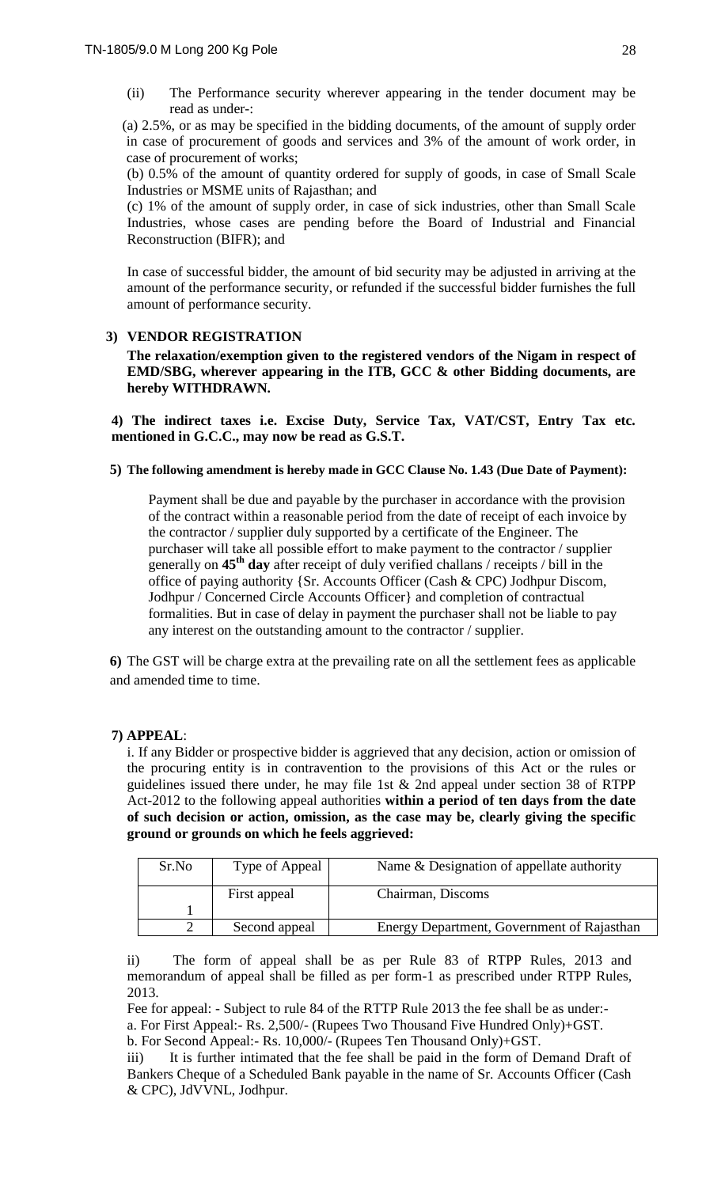(ii) The Performance security wherever appearing in the tender document may be read as under-:

(a) 2.5%, or as may be specified in the bidding documents, of the amount of supply order in case of procurement of goods and services and 3% of the amount of work order, in case of procurement of works;

(b) 0.5% of the amount of quantity ordered for supply of goods, in case of Small Scale Industries or MSME units of Rajasthan; and

(c) 1% of the amount of supply order, in case of sick industries, other than Small Scale Industries, whose cases are pending before the Board of Industrial and Financial Reconstruction (BIFR); and

In case of successful bidder, the amount of bid security may be adjusted in arriving at the amount of the performance security, or refunded if the successful bidder furnishes the full amount of performance security.

#### **3) VENDOR REGISTRATION**

**The relaxation/exemption given to the registered vendors of the Nigam in respect of EMD/SBG, wherever appearing in the ITB, GCC & other Bidding documents, are hereby WITHDRAWN.** 

**4) The indirect taxes i.e. Excise Duty, Service Tax, VAT/CST, Entry Tax etc. mentioned in G.C.C., may now be read as G.S.T.** 

#### **5) The following amendment is hereby made in GCC Clause No. 1.43 (Due Date of Payment):**

Payment shall be due and payable by the purchaser in accordance with the provision of the contract within a reasonable period from the date of receipt of each invoice by the contractor / supplier duly supported by a certificate of the Engineer. The purchaser will take all possible effort to make payment to the contractor / supplier generally on **45th day** after receipt of duly verified challans / receipts / bill in the office of paying authority {Sr. Accounts Officer (Cash & CPC) Jodhpur Discom, Jodhpur / Concerned Circle Accounts Officer} and completion of contractual formalities. But in case of delay in payment the purchaser shall not be liable to pay any interest on the outstanding amount to the contractor / supplier.

**6)** The GST will be charge extra at the prevailing rate on all the settlement fees as applicable and amended time to time.

#### **7) APPEAL**:

i. If any Bidder or prospective bidder is aggrieved that any decision, action or omission of the procuring entity is in contravention to the provisions of this Act or the rules or guidelines issued there under, he may file 1st & 2nd appeal under section 38 of RTPP Act-2012 to the following appeal authorities **within a period of ten days from the date of such decision or action, omission, as the case may be, clearly giving the specific ground or grounds on which he feels aggrieved:** 

| Sr.No | Type of Appeal | Name & Designation of appellate authority  |
|-------|----------------|--------------------------------------------|
|       | First appeal   | Chairman, Discoms                          |
|       |                |                                            |
|       | Second appeal  | Energy Department, Government of Rajasthan |

ii) The form of appeal shall be as per Rule 83 of RTPP Rules, 2013 and memorandum of appeal shall be filled as per form-1 as prescribed under RTPP Rules, 2013.

Fee for appeal: - Subject to rule 84 of the RTTP Rule 2013 the fee shall be as under: a. For First Appeal:- Rs. 2,500/- (Rupees Two Thousand Five Hundred Only)+GST. b. For Second Appeal:- Rs. 10,000/- (Rupees Ten Thousand Only)+GST.

iii) It is further intimated that the fee shall be paid in the form of Demand Draft of Bankers Cheque of a Scheduled Bank payable in the name of Sr. Accounts Officer (Cash & CPC), JdVVNL, Jodhpur.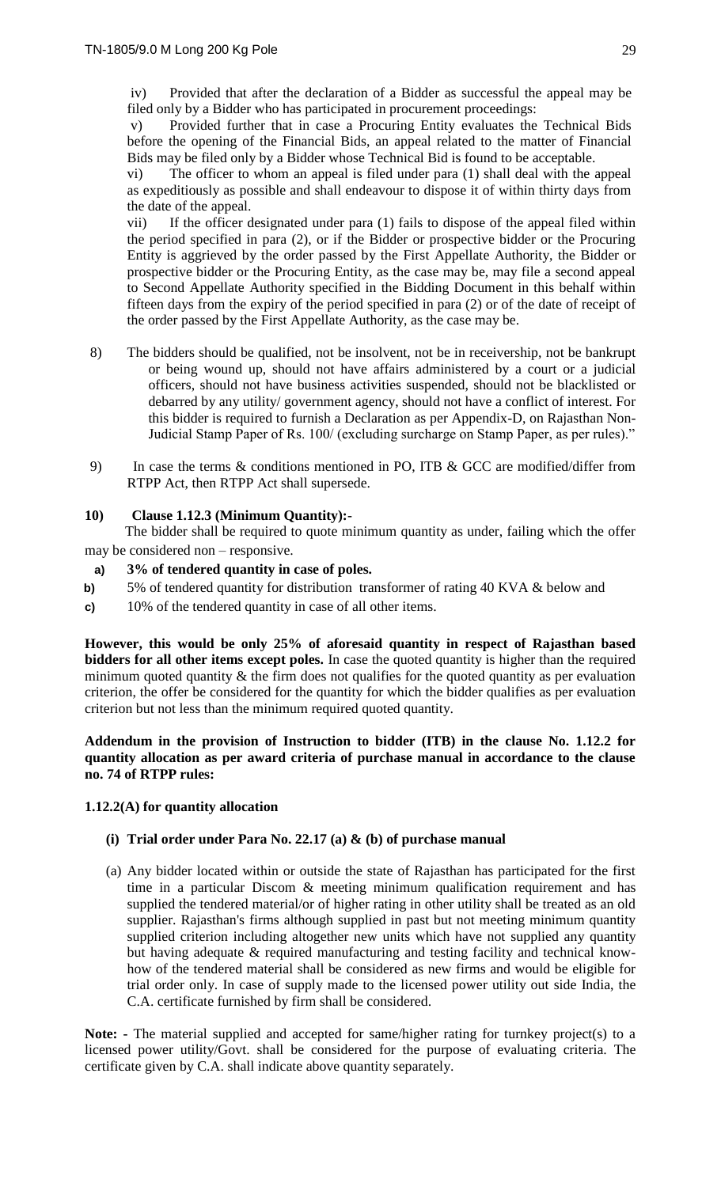iv) Provided that after the declaration of a Bidder as successful the appeal may be filed only by a Bidder who has participated in procurement proceedings:

v) Provided further that in case a Procuring Entity evaluates the Technical Bids before the opening of the Financial Bids, an appeal related to the matter of Financial Bids may be filed only by a Bidder whose Technical Bid is found to be acceptable.

vi) The officer to whom an appeal is filed under para (1) shall deal with the appeal as expeditiously as possible and shall endeavour to dispose it of within thirty days from the date of the appeal.

vii) If the officer designated under para (1) fails to dispose of the appeal filed within the period specified in para (2), or if the Bidder or prospective bidder or the Procuring Entity is aggrieved by the order passed by the First Appellate Authority, the Bidder or prospective bidder or the Procuring Entity, as the case may be, may file a second appeal to Second Appellate Authority specified in the Bidding Document in this behalf within fifteen days from the expiry of the period specified in para (2) or of the date of receipt of the order passed by the First Appellate Authority, as the case may be.

- 8) The bidders should be qualified, not be insolvent, not be in receivership, not be bankrupt or being wound up, should not have affairs administered by a court or a judicial officers, should not have business activities suspended, should not be blacklisted or debarred by any utility/ government agency, should not have a conflict of interest. For this bidder is required to furnish a Declaration as per Appendix-D, on Rajasthan Non-Judicial Stamp Paper of Rs. 100/ (excluding surcharge on Stamp Paper, as per rules)."
- 9) In case the terms & conditions mentioned in PO, ITB & GCC are modified/differ from RTPP Act, then RTPP Act shall supersede.

## **10) Clause 1.12.3 (Minimum Quantity):-**

 The bidder shall be required to quote minimum quantity as under, failing which the offer may be considered non – responsive.

#### **a) 3% of tendered quantity in case of poles.**

- **b)** 5% of tendered quantity for distribution transformer of rating 40 KVA & below and
- **c)** 10% of the tendered quantity in case of all other items.

**However, this would be only 25% of aforesaid quantity in respect of Rajasthan based bidders for all other items except poles.** In case the quoted quantity is higher than the required minimum quoted quantity  $\&$  the firm does not qualifies for the quoted quantity as per evaluation criterion, the offer be considered for the quantity for which the bidder qualifies as per evaluation criterion but not less than the minimum required quoted quantity.

**Addendum in the provision of Instruction to bidder (ITB) in the clause No. 1.12.2 for quantity allocation as per award criteria of purchase manual in accordance to the clause no. 74 of RTPP rules:**

#### **1.12.2(A) for quantity allocation**

#### **(i) Trial order under Para No. 22.17 (a) & (b) of purchase manual**

(a) Any bidder located within or outside the state of Rajasthan has participated for the first time in a particular Discom & meeting minimum qualification requirement and has supplied the tendered material/or of higher rating in other utility shall be treated as an old supplier. Rajasthan's firms although supplied in past but not meeting minimum quantity supplied criterion including altogether new units which have not supplied any quantity but having adequate & required manufacturing and testing facility and technical knowhow of the tendered material shall be considered as new firms and would be eligible for trial order only. In case of supply made to the licensed power utility out side India, the C.A. certificate furnished by firm shall be considered.

**Note: -** The material supplied and accepted for same/higher rating for turnkey project(s) to a licensed power utility/Govt. shall be considered for the purpose of evaluating criteria. The certificate given by C.A. shall indicate above quantity separately.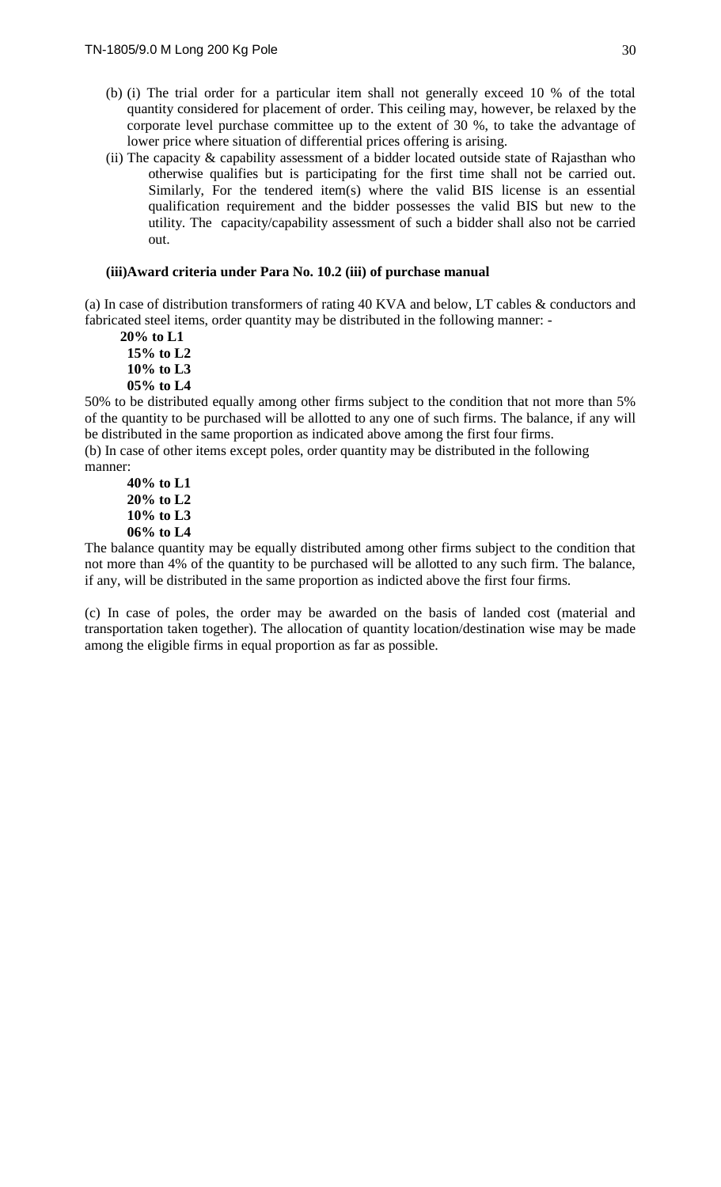- (b) (i) The trial order for a particular item shall not generally exceed 10 % of the total quantity considered for placement of order. This ceiling may, however, be relaxed by the corporate level purchase committee up to the extent of 30 %, to take the advantage of lower price where situation of differential prices offering is arising.
- (ii) The capacity & capability assessment of a bidder located outside state of Rajasthan who otherwise qualifies but is participating for the first time shall not be carried out. Similarly, For the tendered item(s) where the valid BIS license is an essential qualification requirement and the bidder possesses the valid BIS but new to the utility. The capacity/capability assessment of such a bidder shall also not be carried out.

#### **(iii)Award criteria under Para No. 10.2 (iii) of purchase manual**

(a) In case of distribution transformers of rating 40 KVA and below, LT cables & conductors and fabricated steel items, order quantity may be distributed in the following manner: -

 **20% to L1 15% to L2 10% to L3 05% to L4**

50% to be distributed equally among other firms subject to the condition that not more than 5% of the quantity to be purchased will be allotted to any one of such firms. The balance, if any will be distributed in the same proportion as indicated above among the first four firms.

(b) In case of other items except poles, order quantity may be distributed in the following manner:

**40% to L1 20% to L2 10% to L3 06% to L4**

The balance quantity may be equally distributed among other firms subject to the condition that not more than 4% of the quantity to be purchased will be allotted to any such firm. The balance, if any, will be distributed in the same proportion as indicted above the first four firms.

(c) In case of poles, the order may be awarded on the basis of landed cost (material and transportation taken together). The allocation of quantity location/destination wise may be made among the eligible firms in equal proportion as far as possible.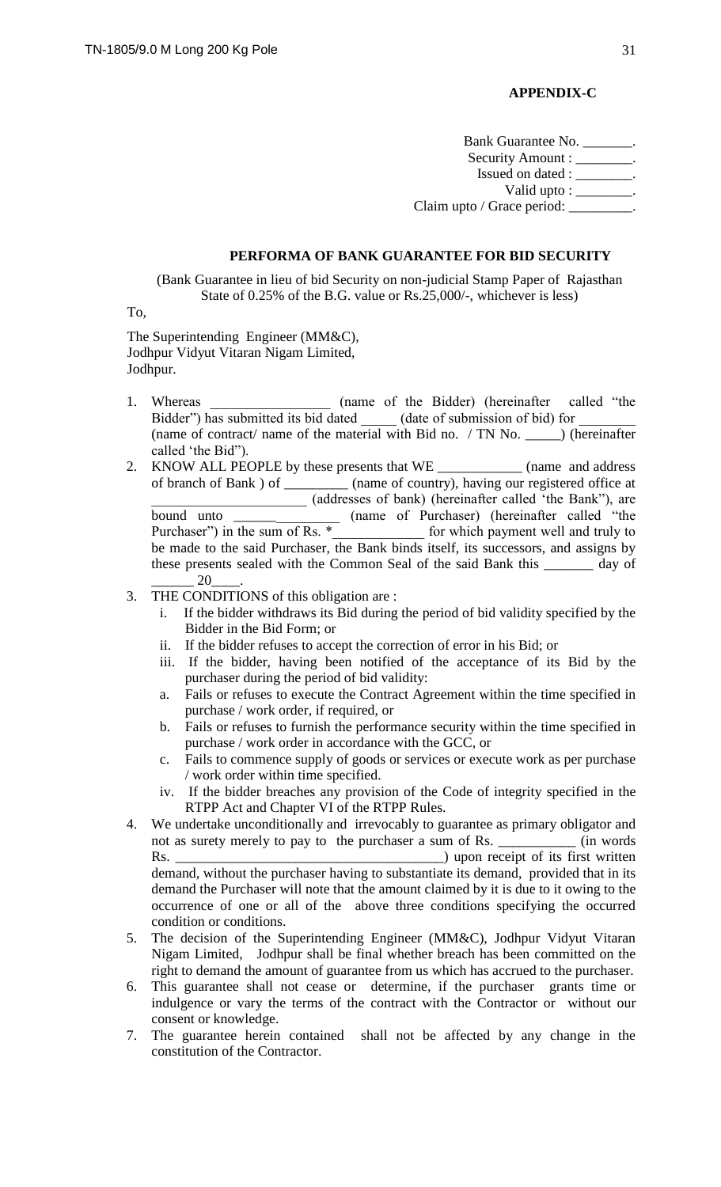## **APPENDIX-C**

Bank Guarantee No. \_\_\_\_\_\_\_. Security Amount : \_\_\_\_\_\_\_. Issued on dated : \_\_\_\_\_\_\_\_. Valid upto : \_\_\_\_\_\_\_\_. Claim upto / Grace period: \_\_\_\_\_\_\_\_\_.

## **PERFORMA OF BANK GUARANTEE FOR BID SECURITY**

(Bank Guarantee in lieu of bid Security on non-judicial Stamp Paper of Rajasthan State of 0.25% of the B.G. value or Rs.25,000/-, whichever is less)

To,

The Superintending Engineer (MM&C), Jodhpur Vidyut Vitaran Nigam Limited, Jodhpur.

- 1. Whereas (name of the Bidder) (hereinafter called "the Bidder") has submitted its bid dated (date of submission of bid) for (name of contract/ name of the material with Bid no. / TN No. \_\_\_\_\_) (hereinafter called 'the Bid").
- 2. KNOW ALL PEOPLE by these presents that WE \_\_\_\_\_\_\_\_\_\_\_\_\_\_ (name and address of branch of Bank ) of \_\_\_\_\_\_\_\_\_ (name of country), having our registered office at (addresses of bank) (hereinafter called 'the Bank''), are \_\_\_\_\_\_\_\_\_\_\_\_\_\_\_\_\_\_\_\_\_\_ (addresses of bank) (hereinafter called 'the Bank"), are bound unto \_\_\_\_\_\_\_\_\_\_\_\_\_\_\_ (name of Purchaser) (hereinafter called "the Purchaser") in the sum of Rs.  $*$  for which payment well and truly to be made to the said Purchaser, the Bank binds itself, its successors, and assigns by these presents sealed with the Common Seal of the said Bank this \_\_\_\_\_\_\_ day of \_\_\_\_\_\_ 20\_\_\_\_.
- 3. THE CONDITIONS of this obligation are :
	- i. If the bidder withdraws its Bid during the period of bid validity specified by the Bidder in the Bid Form; or
	- ii. If the bidder refuses to accept the correction of error in his Bid; or
	- iii. If the bidder, having been notified of the acceptance of its Bid by the purchaser during the period of bid validity:
	- a. Fails or refuses to execute the Contract Agreement within the time specified in purchase / work order, if required, or
	- b. Fails or refuses to furnish the performance security within the time specified in purchase / work order in accordance with the GCC, or
	- c. Fails to commence supply of goods or services or execute work as per purchase / work order within time specified.
	- iv. If the bidder breaches any provision of the Code of integrity specified in the RTPP Act and Chapter VI of the RTPP Rules.
- 4. We undertake unconditionally and irrevocably to guarantee as primary obligator and not as surety merely to pay to the purchaser a sum of Rs. \_\_\_\_\_\_\_\_\_\_\_\_ (in words Rs. \_\_\_\_\_\_\_\_\_\_\_\_\_\_\_\_\_\_\_\_\_\_\_\_\_\_\_\_\_\_\_\_\_\_\_\_\_\_) upon receipt of its first written demand, without the purchaser having to substantiate its demand, provided that in its demand the Purchaser will note that the amount claimed by it is due to it owing to the occurrence of one or all of the above three conditions specifying the occurred condition or conditions.
- 5. The decision of the Superintending Engineer (MM&C), Jodhpur Vidyut Vitaran Nigam Limited, Jodhpur shall be final whether breach has been committed on the right to demand the amount of guarantee from us which has accrued to the purchaser.
- 6. This guarantee shall not cease or determine, if the purchaser grants time or indulgence or vary the terms of the contract with the Contractor or without our consent or knowledge.
- 7. The guarantee herein contained shall not be affected by any change in the constitution of the Contractor.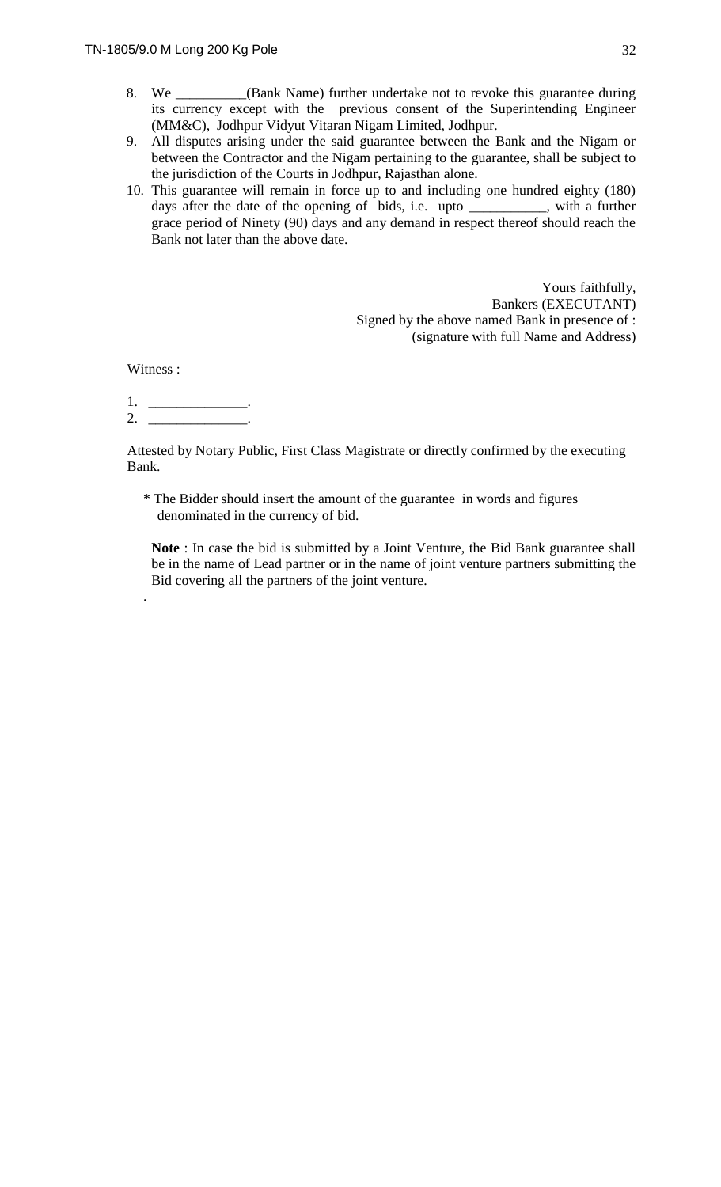- 9. All disputes arising under the said guarantee between the Bank and the Nigam or between the Contractor and the Nigam pertaining to the guarantee, shall be subject to the jurisdiction of the Courts in Jodhpur, Rajasthan alone.
- 10. This guarantee will remain in force up to and including one hundred eighty (180) days after the date of the opening of bids, i.e. upto \_\_\_\_\_\_\_\_\_\_\_, with a further grace period of Ninety (90) days and any demand in respect thereof should reach the Bank not later than the above date.

Yours faithfully, Bankers (EXECUTANT) Signed by the above named Bank in presence of : (signature with full Name and Address)

Witness :

.

1. \_\_\_\_\_\_\_\_\_\_\_\_\_\_.  $2.$ 

Attested by Notary Public, First Class Magistrate or directly confirmed by the executing Bank.

\* The Bidder should insert the amount of the guarantee in words and figures denominated in the currency of bid.

**Note** : In case the bid is submitted by a Joint Venture, the Bid Bank guarantee shall be in the name of Lead partner or in the name of joint venture partners submitting the Bid covering all the partners of the joint venture.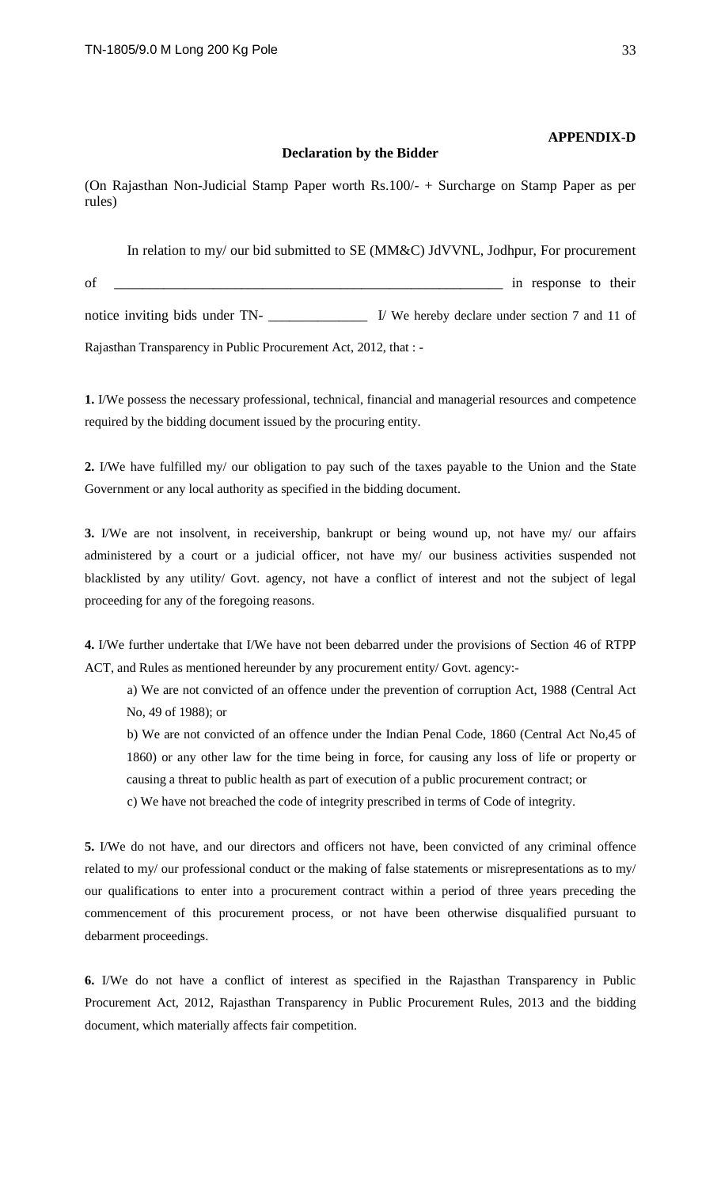#### **APPENDIX-D**

#### **Declaration by the Bidder**

(On Rajasthan Non-Judicial Stamp Paper worth Rs.100/- + Surcharge on Stamp Paper as per rules)

In relation to my/ our bid submitted to SE (MM&C) JdVVNL, Jodhpur, For procurement of \_\_\_\_\_\_\_\_\_\_\_\_\_\_\_\_\_\_\_\_\_\_\_\_\_\_\_\_\_\_\_\_\_\_\_\_\_\_\_\_\_\_\_\_\_\_\_\_\_\_\_\_\_\_\_ in response to their notice inviting bids under TN- \_\_\_\_\_\_\_\_\_\_\_\_\_\_\_\_\_\_\_\_\_\_ I/ We hereby declare under section 7 and 11 of Rajasthan Transparency in Public Procurement Act, 2012, that : -

**1.** I/We possess the necessary professional, technical, financial and managerial resources and competence required by the bidding document issued by the procuring entity.

**2.** I/We have fulfilled my/ our obligation to pay such of the taxes payable to the Union and the State Government or any local authority as specified in the bidding document.

**3.** I/We are not insolvent, in receivership, bankrupt or being wound up, not have my/ our affairs administered by a court or a judicial officer, not have my/ our business activities suspended not blacklisted by any utility/ Govt. agency, not have a conflict of interest and not the subject of legal proceeding for any of the foregoing reasons.

**4.** I/We further undertake that I/We have not been debarred under the provisions of Section 46 of RTPP ACT, and Rules as mentioned hereunder by any procurement entity/ Govt. agency:-

a) We are not convicted of an offence under the prevention of corruption Act, 1988 (Central Act No, 49 of 1988); or

b) We are not convicted of an offence under the Indian Penal Code, 1860 (Central Act No,45 of 1860) or any other law for the time being in force, for causing any loss of life or property or causing a threat to public health as part of execution of a public procurement contract; or

c) We have not breached the code of integrity prescribed in terms of Code of integrity.

**5.** I/We do not have, and our directors and officers not have, been convicted of any criminal offence related to my/ our professional conduct or the making of false statements or misrepresentations as to my/ our qualifications to enter into a procurement contract within a period of three years preceding the commencement of this procurement process, or not have been otherwise disqualified pursuant to debarment proceedings.

**6.** I/We do not have a conflict of interest as specified in the Rajasthan Transparency in Public Procurement Act, 2012, Rajasthan Transparency in Public Procurement Rules, 2013 and the bidding document, which materially affects fair competition.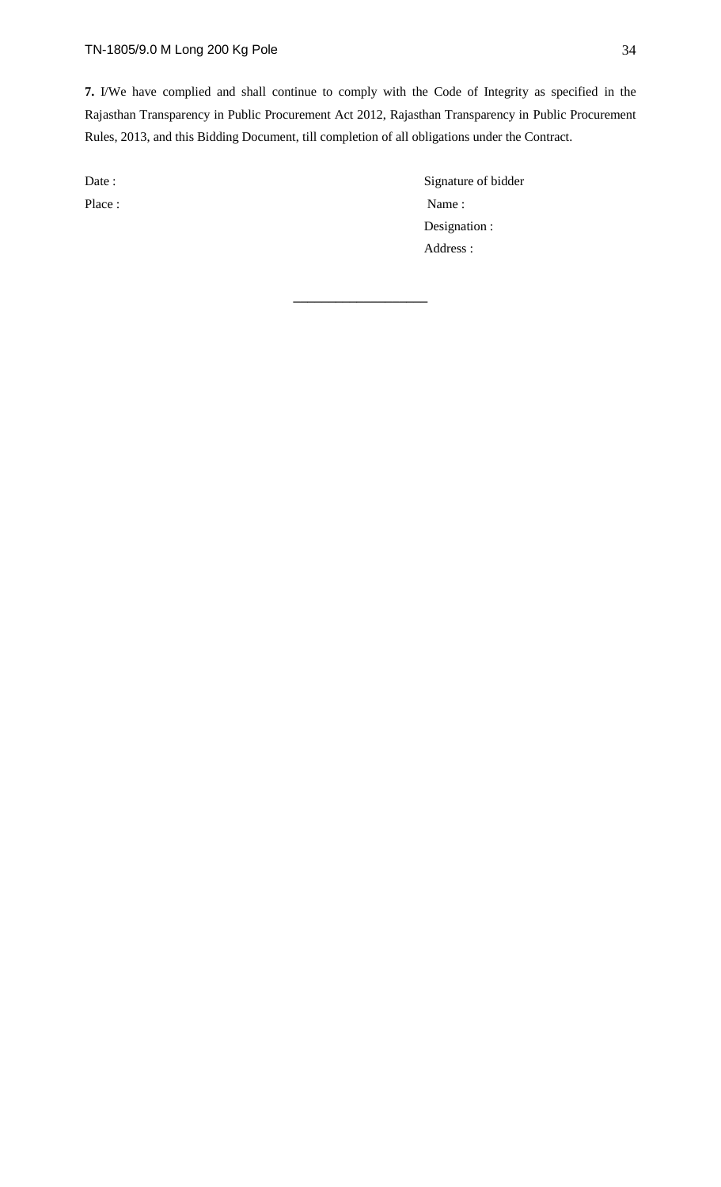**7.** I/We have complied and shall continue to comply with the Code of Integrity as specified in the Rajasthan Transparency in Public Procurement Act 2012, Rajasthan Transparency in Public Procurement Rules, 2013, and this Bidding Document, till completion of all obligations under the Contract.

**\_\_\_\_\_\_\_\_\_\_\_\_\_\_\_\_\_\_\_**

Date : Signature of bidder Place : Name : Name : Name : Name : Name : Name : Name : Name : Name : Name : Name : Name : Name : Name : Name : Name : Name : Name : Name : Name : Name : Name : Name : Name : Name : Name : Name : Name : Name : Name : Name Designation : Address :